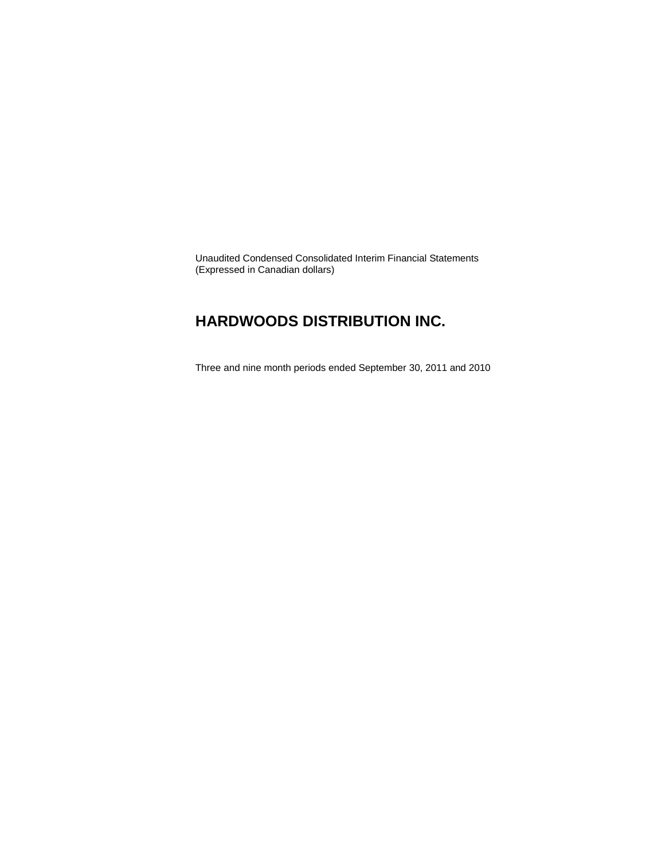Unaudited Condensed Consolidated Interim Financial Statements (Expressed in Canadian dollars)

### **HARDWOODS DISTRIBUTION INC.**

Three and nine month periods ended September 30, 2011 and 2010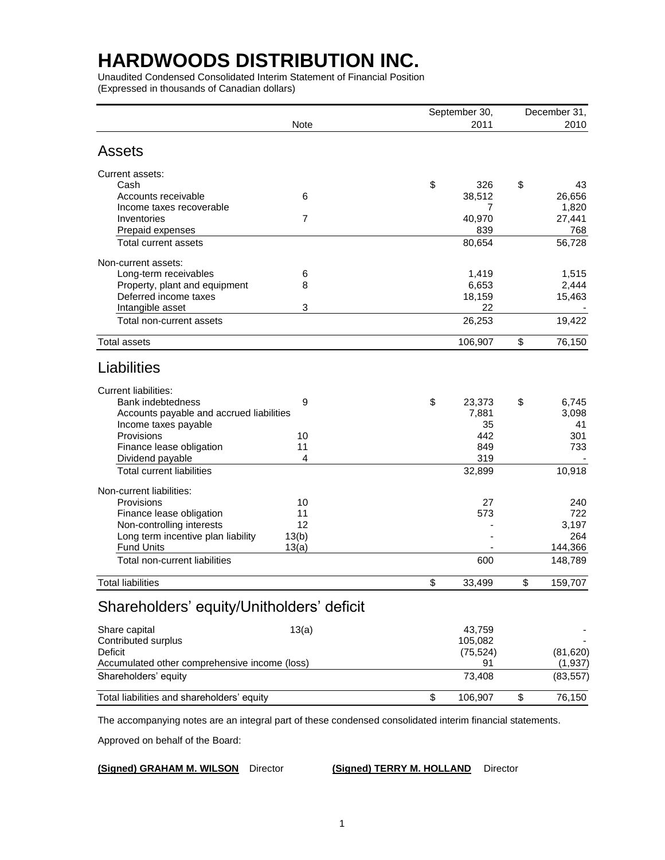Unaudited Condensed Consolidated Interim Statement of Financial Position (Expressed in thousands of Canadian dollars)

|                                                                 |          | September 30, | December 31, |               |  |
|-----------------------------------------------------------------|----------|---------------|--------------|---------------|--|
|                                                                 | Note     | 2011          |              | 2010          |  |
| Assets                                                          |          |               |              |               |  |
| Current assets:                                                 |          |               |              |               |  |
| Cash                                                            |          | \$<br>326     | \$           | 43            |  |
| Accounts receivable                                             | 6        | 38,512        |              | 26,656        |  |
| Income taxes recoverable                                        |          | 7             |              | 1,820         |  |
| Inventories                                                     | 7        | 40,970<br>839 |              | 27,441<br>768 |  |
| Prepaid expenses<br><b>Total current assets</b>                 |          | 80,654        |              | 56,728        |  |
| Non-current assets:                                             |          |               |              |               |  |
| Long-term receivables                                           | 6        | 1,419         |              | 1,515         |  |
| Property, plant and equipment                                   | 8        | 6,653         |              | 2,444         |  |
| Deferred income taxes                                           |          | 18,159        |              | 15,463        |  |
| Intangible asset                                                | 3        | 22            |              |               |  |
| Total non-current assets                                        |          | 26,253        |              | 19,422        |  |
| <b>Total assets</b>                                             |          | 106,907       | \$           | 76,150        |  |
| Liabilities                                                     |          |               |              |               |  |
| <b>Current liabilities:</b>                                     |          |               |              |               |  |
| <b>Bank indebtedness</b>                                        | 9        | \$<br>23,373  | \$           | 6,745         |  |
| Accounts payable and accrued liabilities                        |          | 7,881         |              | 3,098         |  |
| Income taxes payable                                            |          | 35            |              | 41            |  |
| Provisions                                                      | 10       | 442           |              | 301           |  |
| Finance lease obligation                                        | 11       | 849           |              | 733           |  |
| Dividend payable<br><b>Total current liabilities</b>            | 4        | 319           |              | 10,918        |  |
|                                                                 |          | 32,899        |              |               |  |
| Non-current liabilities:                                        |          |               |              |               |  |
| Provisions                                                      | 10       | 27            |              | 240           |  |
| Finance lease obligation                                        | 11<br>12 | 573           |              | 722<br>3,197  |  |
| Non-controlling interests<br>Long term incentive plan liability | 13(b)    |               |              | 264           |  |
| <b>Fund Units</b>                                               | 13(a)    |               |              | 144,366       |  |
| Total non-current liabilities                                   |          | 600           |              | 148,789       |  |
| <b>Total liabilities</b>                                        |          | \$<br>33,499  | \$           | 159,707       |  |
|                                                                 |          |               |              |               |  |
| Shareholders' equity/Unitholders' deficit                       |          |               |              |               |  |
| Share capital                                                   | 13(a)    | 43,759        |              |               |  |
| Contributed surplus                                             |          | 105,082       |              |               |  |
| Deficit                                                         |          | (75, 524)     |              | (81, 620)     |  |
| Accumulated other comprehensive income (loss)                   |          | 91            |              | (1, 937)      |  |
| Shareholders' equity                                            |          | 73,408        |              | (83, 557)     |  |
| Total liabilities and shareholders' equity                      |          | \$<br>106,907 | \$           | 76,150        |  |

The accompanying notes are an integral part of these condensed consolidated interim financial statements.

Approved on behalf of the Board:

**(Signed) GRAHAM M. WILSON** Director **(Signed) TERRY M. HOLLAND** Director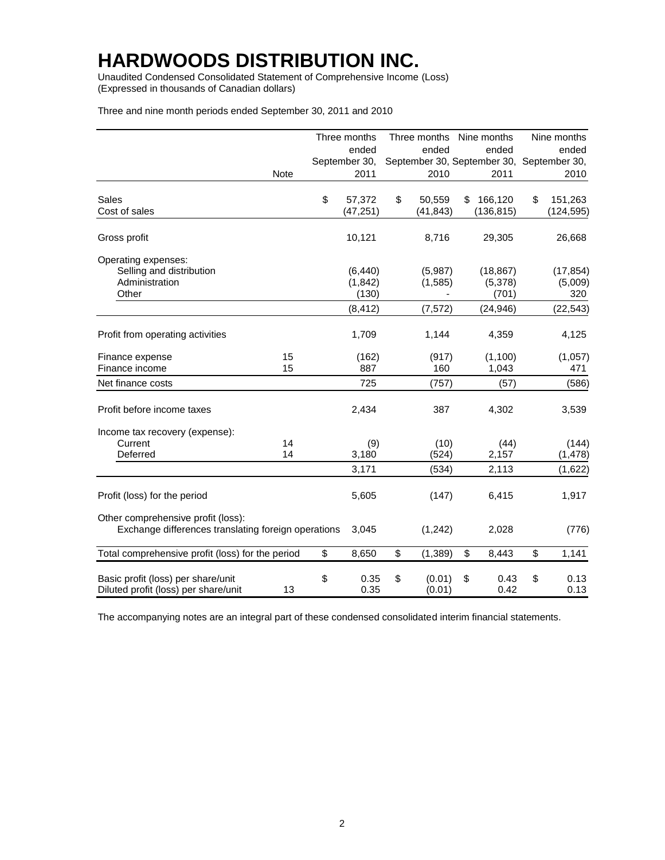Unaudited Condensed Consolidated Statement of Comprehensive Income (Loss) (Expressed in thousands of Canadian dollars)

| Three and nine month periods ended September 30, 2011 and 2010 |  |  |  |
|----------------------------------------------------------------|--|--|--|
|----------------------------------------------------------------|--|--|--|

|                                                                                           |             | Three months       | Three months Nine months |                                           | Nine months        |
|-------------------------------------------------------------------------------------------|-------------|--------------------|--------------------------|-------------------------------------------|--------------------|
|                                                                                           |             | ended              | ended                    | ended                                     | ended              |
|                                                                                           |             | September 30,      |                          | September 30, September 30, September 30, |                    |
|                                                                                           | <b>Note</b> | 2011               | 2010                     | 2011                                      | 2010               |
| <b>Sales</b>                                                                              |             | \$<br>57,372       | \$<br>50,559             | \$<br>166,120                             | \$<br>151,263      |
| Cost of sales                                                                             |             | (47, 251)          | (41, 843)                | (136, 815)                                | (124, 595)         |
| Gross profit                                                                              |             | 10,121             | 8,716                    | 29,305                                    | 26,668             |
| Operating expenses:                                                                       |             |                    |                          |                                           |                    |
| Selling and distribution                                                                  |             | (6, 440)           | (5,987)                  | (18, 867)                                 | (17, 854)          |
| Administration                                                                            |             | (1, 842)           | (1,585)                  | (5,378)                                   | (5,009)            |
| Other                                                                                     |             | (130)              |                          | (701)                                     | 320                |
|                                                                                           |             | (8, 412)           | (7, 572)                 | (24, 946)                                 | (22, 543)          |
| Profit from operating activities                                                          |             | 1,709              | 1,144                    | 4,359                                     | 4,125              |
| Finance expense                                                                           | 15          | (162)              | (917)                    | (1,100)                                   | (1,057)            |
| Finance income                                                                            | 15          | 887                | 160                      | 1,043                                     | 471                |
| Net finance costs                                                                         |             | 725                | (757)                    | (57)                                      | (586)              |
| Profit before income taxes                                                                |             | 2,434              | 387                      | 4,302                                     | 3,539              |
| Income tax recovery (expense):                                                            |             |                    |                          |                                           |                    |
| Current                                                                                   | 14          | (9)                | (10)                     | (44)                                      | (144)              |
| Deferred                                                                                  | 14          | 3,180              | (524)                    | 2,157                                     | (1, 478)           |
|                                                                                           |             | 3,171              | (534)                    | 2,113                                     | (1,622)            |
| Profit (loss) for the period                                                              |             | 5,605              | (147)                    | 6,415                                     | 1,917              |
| Other comprehensive profit (loss):<br>Exchange differences translating foreign operations |             | 3,045              | (1,242)                  | 2,028                                     | (776)              |
| Total comprehensive profit (loss) for the period                                          |             | \$<br>8,650        | \$<br>(1,389)            | \$<br>8,443                               | \$<br>1,141        |
| Basic profit (loss) per share/unit<br>Diluted profit (loss) per share/unit                | 13          | \$<br>0.35<br>0.35 | \$<br>(0.01)<br>(0.01)   | \$<br>0.43<br>0.42                        | \$<br>0.13<br>0.13 |

The accompanying notes are an integral part of these condensed consolidated interim financial statements.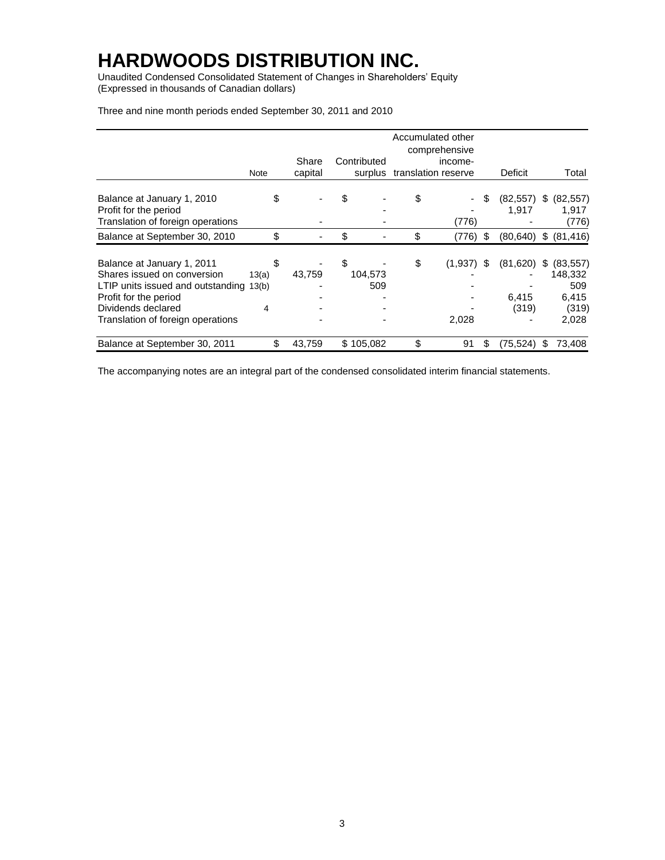Unaudited Condensed Consolidated Statement of Changes in Shareholders' Equity (Expressed in thousands of Canadian dollars)

|                                                     |       | Accumulated other |    |             |    |                     |    |                          |    |                    |
|-----------------------------------------------------|-------|-------------------|----|-------------|----|---------------------|----|--------------------------|----|--------------------|
|                                                     |       |                   |    |             |    | comprehensive       |    |                          |    |                    |
|                                                     |       | Share             |    | Contributed |    | income-             |    |                          |    |                    |
|                                                     | Note  | capital           |    | surplus     |    | translation reserve |    | Deficit                  |    | Total              |
| Balance at January 1, 2010<br>Profit for the period |       |                   |    |             | \$ |                     | \$ | (82, 557)<br>1,917       | S. | (82, 557)<br>1,917 |
| Translation of foreign operations                   |       |                   |    |             |    | (776)               |    |                          |    | (776)              |
| Balance at September 30, 2010                       | \$    |                   | \$ |             | \$ | $(776)$ \$          |    | $(80,640)$ \$ $(81,416)$ |    |                    |
|                                                     |       |                   |    |             |    |                     |    |                          |    |                    |
| Balance at January 1, 2011                          |       |                   |    |             | \$ | (1,937)             | S  | $(81,620)$ \$            |    | (83, 557)          |
| Shares issued on conversion                         | 13(a) | 43,759            |    | 104,573     |    |                     |    |                          |    | 148,332            |
| LTIP units issued and outstanding 13(b)             |       |                   |    | 509         |    |                     |    |                          |    | 509                |
| Profit for the period                               |       |                   |    |             |    |                     |    | 6,415                    |    | 6,415              |
| Dividends declared                                  | 4     |                   |    |             |    |                     |    | (319)                    |    | (319)              |
| Translation of foreign operations                   |       |                   |    |             |    | 2,028               |    |                          |    | 2,028              |
| Balance at September 30, 2011                       |       | 43,759            |    | \$105,082   | \$ | 91                  | S  | (75,524)                 |    | 73,408             |

Three and nine month periods ended September 30, 2011 and 2010

The accompanying notes are an integral part of the condensed consolidated interim financial statements.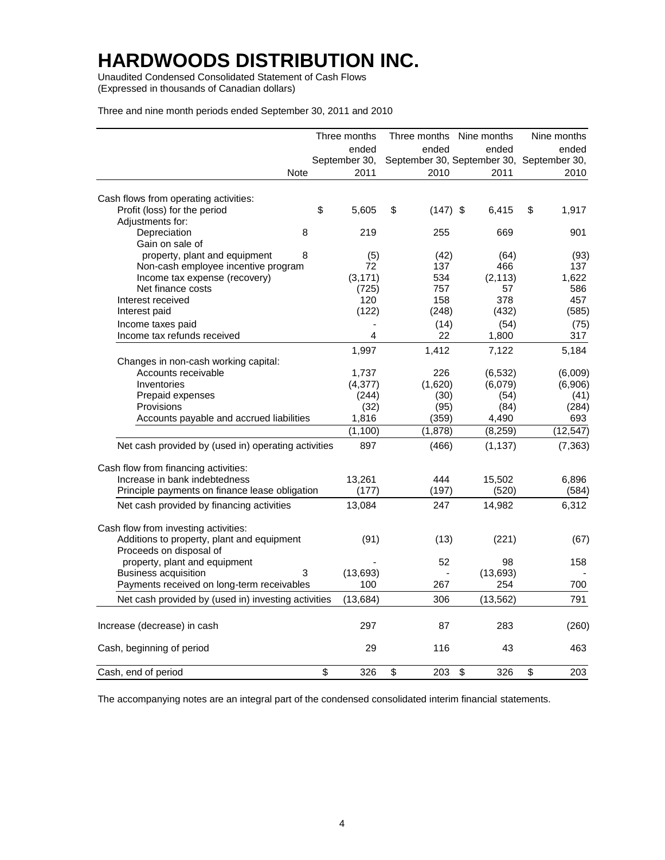Unaudited Condensed Consolidated Statement of Cash Flows (Expressed in thousands of Canadian dollars)

Three and nine month periods ended September 30, 2011 and 2010

|                                                                                    | Three months  |                  | Three months Nine months                  | Nine months |           |
|------------------------------------------------------------------------------------|---------------|------------------|-------------------------------------------|-------------|-----------|
|                                                                                    | ended         | ended            | ended                                     |             | ended     |
|                                                                                    | September 30, |                  | September 30, September 30, September 30, |             |           |
| Note                                                                               | 2011          | 2010             | 2011                                      |             | 2010      |
| Cash flows from operating activities:                                              |               |                  |                                           |             |           |
| Profit (loss) for the period                                                       | \$<br>5,605   | \$<br>$(147)$ \$ | 6,415                                     | \$          | 1,917     |
| Adjustments for:                                                                   |               |                  |                                           |             |           |
| 8<br>Depreciation                                                                  | 219           | 255              | 669                                       |             | 901       |
| Gain on sale of                                                                    |               |                  |                                           |             |           |
| property, plant and equipment<br>8                                                 | (5)           | (42)             | (64)                                      |             | (93)      |
| Non-cash employee incentive program                                                | 72            | 137              | 466                                       |             | 137       |
| Income tax expense (recovery)                                                      | (3, 171)      | 534              | (2, 113)                                  |             | 1,622     |
| Net finance costs                                                                  | (725)         | 757              | 57                                        |             | 586       |
| Interest received                                                                  | 120           | 158              | 378                                       |             | 457       |
| Interest paid                                                                      | (122)         | (248)            | (432)                                     |             | (585)     |
| Income taxes paid                                                                  |               | (14)             | (54)                                      |             | (75)      |
| Income tax refunds received                                                        | 4             | 22               | 1,800                                     |             | 317       |
|                                                                                    | 1,997         | 1,412            | 7,122                                     |             | 5,184     |
| Changes in non-cash working capital:                                               |               |                  |                                           |             |           |
| Accounts receivable                                                                | 1,737         | 226              | (6, 532)                                  |             | (6,009)   |
| Inventories                                                                        | (4,377)       | (1,620)          | (6,079)                                   |             | (6,906)   |
| Prepaid expenses                                                                   | (244)         | (30)             | (54)                                      |             | (41)      |
| Provisions                                                                         | (32)          | (95)             | (84)                                      |             | (284)     |
| Accounts payable and accrued liabilities                                           | 1,816         | (359)            | 4,490                                     |             | 693       |
|                                                                                    | (1, 100)      | (1,878)          | (8, 259)                                  |             | (12, 547) |
| Net cash provided by (used in) operating activities                                | 897           | (466)            | (1, 137)                                  |             | (7, 363)  |
| Cash flow from financing activities:                                               |               |                  |                                           |             |           |
| Increase in bank indebtedness                                                      | 13,261        | 444              | 15,502                                    |             | 6,896     |
| Principle payments on finance lease obligation                                     | (177)         | (197)            | (520)                                     |             | (584)     |
| Net cash provided by financing activities                                          | 13,084        | 247              | 14,982                                    |             | 6,312     |
|                                                                                    |               |                  |                                           |             |           |
| Cash flow from investing activities:<br>Additions to property, plant and equipment | (91)          |                  |                                           |             |           |
|                                                                                    |               | (13)             | (221)                                     |             | (67)      |
| Proceeds on disposal of<br>property, plant and equipment                           |               | 52               | 98                                        |             | 158       |
| <b>Business acquisition</b><br>3                                                   | (13, 693)     | $\blacksquare$   | (13, 693)                                 |             |           |
| Payments received on long-term receivables                                         | 100           | 267              | 254                                       |             | 700       |
|                                                                                    |               |                  |                                           |             |           |
| Net cash provided by (used in) investing activities                                | (13, 684)     | 306              | (13, 562)                                 |             | 791       |
| Increase (decrease) in cash                                                        | 297           | 87               | 283                                       |             | (260)     |
| Cash, beginning of period                                                          | 29            | 116              | 43                                        |             | 463       |
| Cash, end of period                                                                | \$<br>326     | \$<br>203        | \$<br>326                                 | \$          | 203       |

The accompanying notes are an integral part of the condensed consolidated interim financial statements.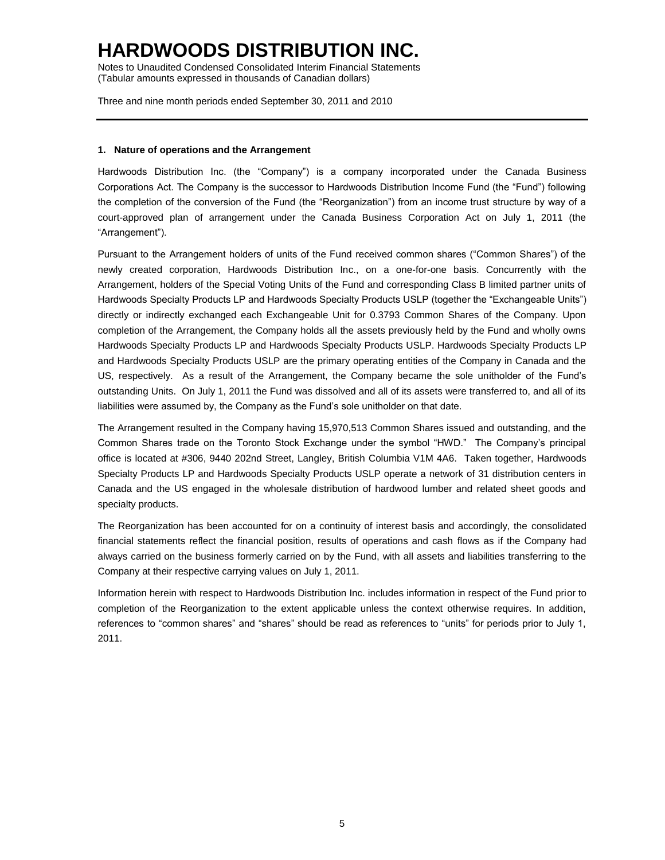Notes to Unaudited Condensed Consolidated Interim Financial Statements (Tabular amounts expressed in thousands of Canadian dollars)

Three and nine month periods ended September 30, 2011 and 2010

#### **1. Nature of operations and the Arrangement**

Hardwoods Distribution Inc. (the "Company") is a company incorporated under the Canada Business Corporations Act. The Company is the successor to Hardwoods Distribution Income Fund (the "Fund") following the completion of the conversion of the Fund (the "Reorganization") from an income trust structure by way of a court-approved plan of arrangement under the Canada Business Corporation Act on July 1, 2011 (the "Arrangement").

Pursuant to the Arrangement holders of units of the Fund received common shares ("Common Shares") of the newly created corporation, Hardwoods Distribution Inc., on a one-for-one basis. Concurrently with the Arrangement, holders of the Special Voting Units of the Fund and corresponding Class B limited partner units of Hardwoods Specialty Products LP and Hardwoods Specialty Products USLP (together the "Exchangeable Units") directly or indirectly exchanged each Exchangeable Unit for 0.3793 Common Shares of the Company. Upon completion of the Arrangement, the Company holds all the assets previously held by the Fund and wholly owns Hardwoods Specialty Products LP and Hardwoods Specialty Products USLP. Hardwoods Specialty Products LP and Hardwoods Specialty Products USLP are the primary operating entities of the Company in Canada and the US, respectively. As a result of the Arrangement, the Company became the sole unitholder of the Fund's outstanding Units. On July 1, 2011 the Fund was dissolved and all of its assets were transferred to, and all of its liabilities were assumed by, the Company as the Fund's sole unitholder on that date.

The Arrangement resulted in the Company having 15,970,513 Common Shares issued and outstanding, and the Common Shares trade on the Toronto Stock Exchange under the symbol "HWD." The Company's principal office is located at #306, 9440 202nd Street, Langley, British Columbia V1M 4A6. Taken together, Hardwoods Specialty Products LP and Hardwoods Specialty Products USLP operate a network of 31 distribution centers in Canada and the US engaged in the wholesale distribution of hardwood lumber and related sheet goods and specialty products.

The Reorganization has been accounted for on a continuity of interest basis and accordingly, the consolidated financial statements reflect the financial position, results of operations and cash flows as if the Company had always carried on the business formerly carried on by the Fund, with all assets and liabilities transferring to the Company at their respective carrying values on July 1, 2011.

Information herein with respect to Hardwoods Distribution Inc. includes information in respect of the Fund prior to completion of the Reorganization to the extent applicable unless the context otherwise requires. In addition, references to "common shares" and "shares" should be read as references to "units" for periods prior to July 1, 2011.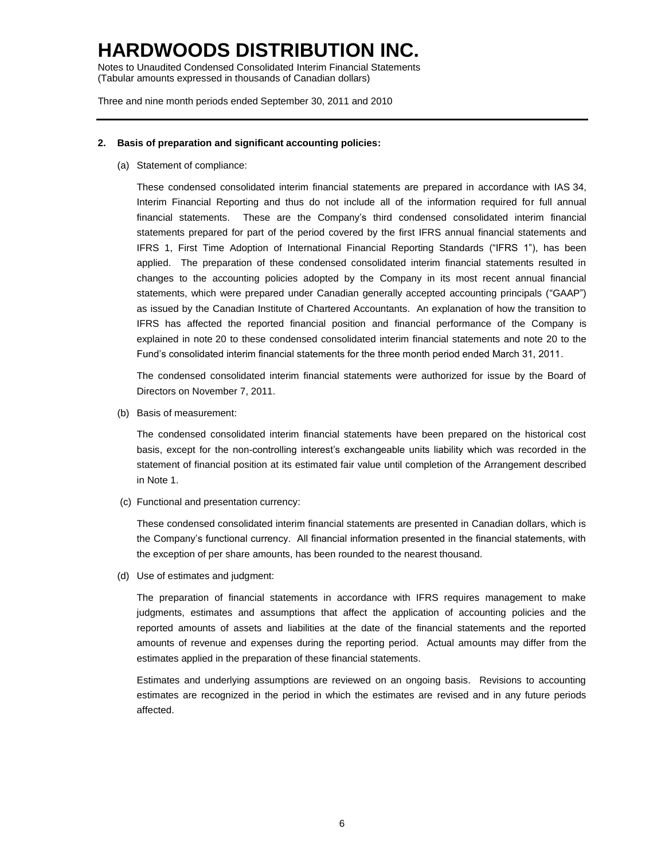Notes to Unaudited Condensed Consolidated Interim Financial Statements (Tabular amounts expressed in thousands of Canadian dollars)

Three and nine month periods ended September 30, 2011 and 2010

### **2. Basis of preparation and significant accounting policies:**

(a) Statement of compliance:

These condensed consolidated interim financial statements are prepared in accordance with IAS 34, Interim Financial Reporting and thus do not include all of the information required for full annual financial statements. These are the Company's third condensed consolidated interim financial statements prepared for part of the period covered by the first IFRS annual financial statements and IFRS 1, First Time Adoption of International Financial Reporting Standards ("IFRS 1"), has been applied. The preparation of these condensed consolidated interim financial statements resulted in changes to the accounting policies adopted by the Company in its most recent annual financial statements, which were prepared under Canadian generally accepted accounting principals ("GAAP") as issued by the Canadian Institute of Chartered Accountants. An explanation of how the transition to IFRS has affected the reported financial position and financial performance of the Company is explained in note 20 to these condensed consolidated interim financial statements and note 20 to the Fund's consolidated interim financial statements for the three month period ended March 31, 2011.

The condensed consolidated interim financial statements were authorized for issue by the Board of Directors on November 7, 2011.

(b) Basis of measurement:

The condensed consolidated interim financial statements have been prepared on the historical cost basis, except for the non-controlling interest's exchangeable units liability which was recorded in the statement of financial position at its estimated fair value until completion of the Arrangement described in Note 1.

(c) Functional and presentation currency:

These condensed consolidated interim financial statements are presented in Canadian dollars, which is the Company's functional currency. All financial information presented in the financial statements, with the exception of per share amounts, has been rounded to the nearest thousand.

(d) Use of estimates and judgment:

The preparation of financial statements in accordance with IFRS requires management to make judgments, estimates and assumptions that affect the application of accounting policies and the reported amounts of assets and liabilities at the date of the financial statements and the reported amounts of revenue and expenses during the reporting period. Actual amounts may differ from the estimates applied in the preparation of these financial statements.

Estimates and underlying assumptions are reviewed on an ongoing basis. Revisions to accounting estimates are recognized in the period in which the estimates are revised and in any future periods affected.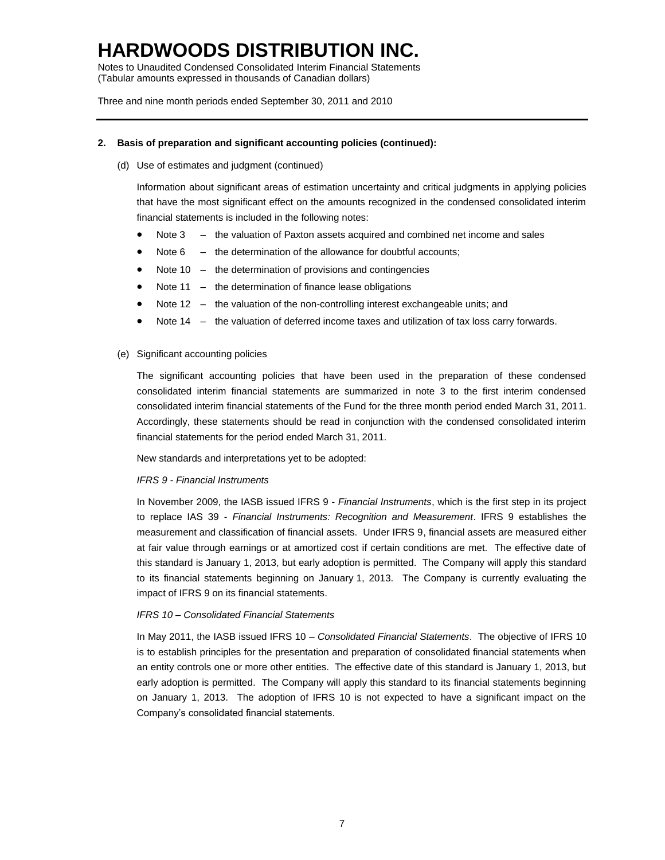Notes to Unaudited Condensed Consolidated Interim Financial Statements (Tabular amounts expressed in thousands of Canadian dollars)

Three and nine month periods ended September 30, 2011 and 2010

### **2. Basis of preparation and significant accounting policies (continued):**

(d) Use of estimates and judgment (continued)

Information about significant areas of estimation uncertainty and critical judgments in applying policies that have the most significant effect on the amounts recognized in the condensed consolidated interim financial statements is included in the following notes:

- Note 3 the valuation of Paxton assets acquired and combined net income and sales
- Note 6 the determination of the allowance for doubtful accounts;
- Note 10 the determination of provisions and contingencies
- Note 11 the determination of finance lease obligations
- Note 12 the valuation of the non-controlling interest exchangeable units; and
- Note 14 the valuation of deferred income taxes and utilization of tax loss carry forwards.
- (e) Significant accounting policies

The significant accounting policies that have been used in the preparation of these condensed consolidated interim financial statements are summarized in note 3 to the first interim condensed consolidated interim financial statements of the Fund for the three month period ended March 31, 2011. Accordingly, these statements should be read in conjunction with the condensed consolidated interim financial statements for the period ended March 31, 2011.

New standards and interpretations yet to be adopted:

#### *IFRS 9 - Financial Instruments*

In November 2009, the IASB issued IFRS 9 - *Financial Instruments*, which is the first step in its project to replace IAS 39 - *Financial Instruments: Recognition and Measurement*. IFRS 9 establishes the measurement and classification of financial assets. Under IFRS 9, financial assets are measured either at fair value through earnings or at amortized cost if certain conditions are met. The effective date of this standard is January 1, 2013, but early adoption is permitted. The Company will apply this standard to its financial statements beginning on January 1, 2013. The Company is currently evaluating the impact of IFRS 9 on its financial statements.

#### *IFRS 10 – Consolidated Financial Statements*

In May 2011, the IASB issued IFRS 10 – *Consolidated Financial Statements*. The objective of IFRS 10 is to establish principles for the presentation and preparation of consolidated financial statements when an entity controls one or more other entities. The effective date of this standard is January 1, 2013, but early adoption is permitted. The Company will apply this standard to its financial statements beginning on January 1, 2013. The adoption of IFRS 10 is not expected to have a significant impact on the Company's consolidated financial statements.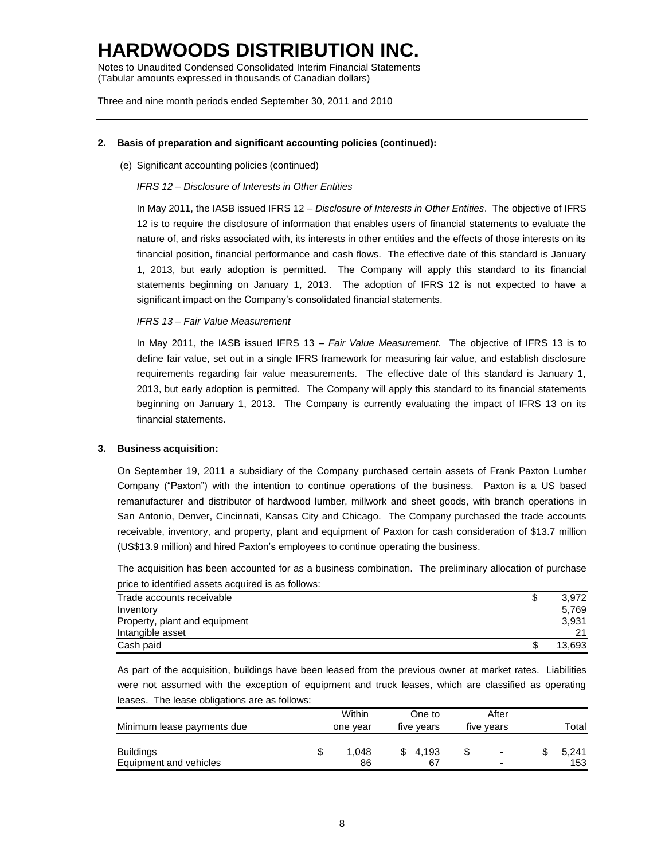Notes to Unaudited Condensed Consolidated Interim Financial Statements (Tabular amounts expressed in thousands of Canadian dollars)

Three and nine month periods ended September 30, 2011 and 2010

### **2. Basis of preparation and significant accounting policies (continued):**

(e) Significant accounting policies (continued)

#### *IFRS 12 – Disclosure of Interests in Other Entities*

In May 2011, the IASB issued IFRS 12 – *Disclosure of Interests in Other Entities*. The objective of IFRS 12 is to require the disclosure of information that enables users of financial statements to evaluate the nature of, and risks associated with, its interests in other entities and the effects of those interests on its financial position, financial performance and cash flows. The effective date of this standard is January 1, 2013, but early adoption is permitted. The Company will apply this standard to its financial statements beginning on January 1, 2013. The adoption of IFRS 12 is not expected to have a significant impact on the Company's consolidated financial statements.

#### *IFRS 13 – Fair Value Measurement*

In May 2011, the IASB issued IFRS 13 – *Fair Value Measurement*. The objective of IFRS 13 is to define fair value, set out in a single IFRS framework for measuring fair value, and establish disclosure requirements regarding fair value measurements. The effective date of this standard is January 1, 2013, but early adoption is permitted. The Company will apply this standard to its financial statements beginning on January 1, 2013. The Company is currently evaluating the impact of IFRS 13 on its financial statements.

#### **3. Business acquisition:**

On September 19, 2011 a subsidiary of the Company purchased certain assets of Frank Paxton Lumber Company ("Paxton") with the intention to continue operations of the business. Paxton is a US based remanufacturer and distributor of hardwood lumber, millwork and sheet goods, with branch operations in San Antonio, Denver, Cincinnati, Kansas City and Chicago. The Company purchased the trade accounts receivable, inventory, and property, plant and equipment of Paxton for cash consideration of \$13.7 million (US\$13.9 million) and hired Paxton's employees to continue operating the business.

The acquisition has been accounted for as a business combination. The preliminary allocation of purchase price to identified assets acquired is as follows:

| Trade accounts receivable     | \$ | 3,972  |
|-------------------------------|----|--------|
| Inventory                     |    | 5.769  |
| Property, plant and equipment |    | 3,931  |
| Intangible asset              |    | 21     |
| Cash paid                     | S  | 13.693 |

As part of the acquisition, buildings have been leased from the previous owner at market rates. Liabilities were not assumed with the exception of equipment and truck leases, which are classified as operating leases. The lease obligations are as follows:

|                            | Within   | One to     | After      |       |
|----------------------------|----------|------------|------------|-------|
| Minimum lease payments due | one year | five years | five years | Total |
|                            |          |            |            |       |
| <b>Buildings</b>           | 1.048    | 4.193      | -          | 5.241 |
| Equipment and vehicles     | 86       | 67         | -          | 153   |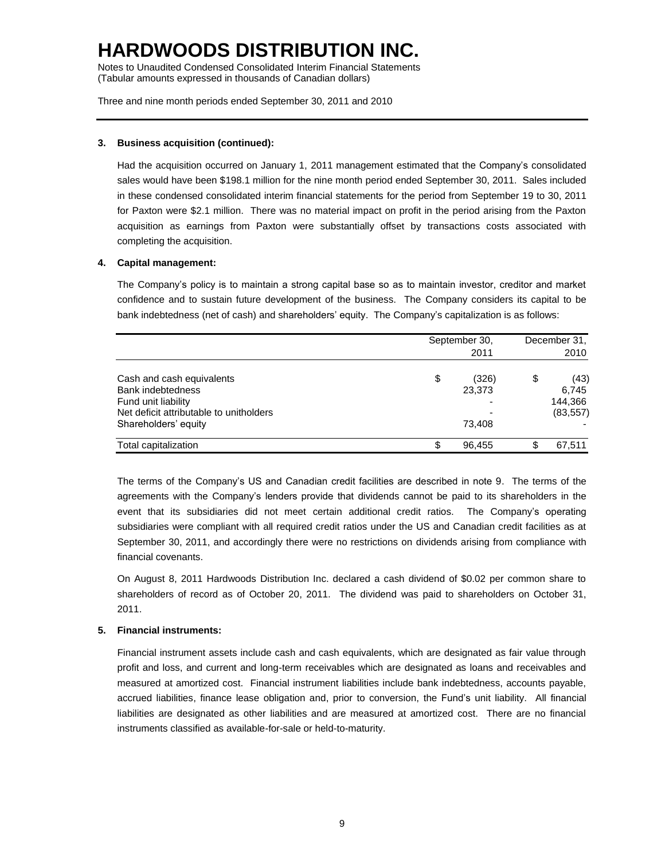Notes to Unaudited Condensed Consolidated Interim Financial Statements (Tabular amounts expressed in thousands of Canadian dollars)

Three and nine month periods ended September 30, 2011 and 2010

### **3. Business acquisition (continued):**

Had the acquisition occurred on January 1, 2011 management estimated that the Company's consolidated sales would have been \$198.1 million for the nine month period ended September 30, 2011. Sales included in these condensed consolidated interim financial statements for the period from September 19 to 30, 2011 for Paxton were \$2.1 million. There was no material impact on profit in the period arising from the Paxton acquisition as earnings from Paxton were substantially offset by transactions costs associated with completing the acquisition.

### **4. Capital management:**

The Company's policy is to maintain a strong capital base so as to maintain investor, creditor and market confidence and to sustain future development of the business. The Company considers its capital to be bank indebtedness (net of cash) and shareholders' equity. The Company's capitalization is as follows:

|                                         |    | September 30,<br>2011 | December 31,<br>2010 |           |  |
|-----------------------------------------|----|-----------------------|----------------------|-----------|--|
| Cash and cash equivalents               | \$ | (326)                 | \$                   | (43)      |  |
| <b>Bank indebtedness</b>                |    | 23,373                |                      | 6.745     |  |
| Fund unit liability                     |    |                       |                      | 144.366   |  |
| Net deficit attributable to unitholders |    |                       |                      | (83, 557) |  |
| Shareholders' equity                    |    | 73.408                |                      |           |  |
| Total capitalization                    | S  | 96,455                | \$                   | 67,511    |  |

The terms of the Company's US and Canadian credit facilities are described in note 9. The terms of the agreements with the Company's lenders provide that dividends cannot be paid to its shareholders in the event that its subsidiaries did not meet certain additional credit ratios. The Company's operating subsidiaries were compliant with all required credit ratios under the US and Canadian credit facilities as at September 30, 2011, and accordingly there were no restrictions on dividends arising from compliance with financial covenants.

On August 8, 2011 Hardwoods Distribution Inc. declared a cash dividend of \$0.02 per common share to shareholders of record as of October 20, 2011. The dividend was paid to shareholders on October 31, 2011.

### **5. Financial instruments:**

Financial instrument assets include cash and cash equivalents, which are designated as fair value through profit and loss, and current and long-term receivables which are designated as loans and receivables and measured at amortized cost. Financial instrument liabilities include bank indebtedness, accounts payable, accrued liabilities, finance lease obligation and, prior to conversion, the Fund's unit liability. All financial liabilities are designated as other liabilities and are measured at amortized cost. There are no financial instruments classified as available-for-sale or held-to-maturity.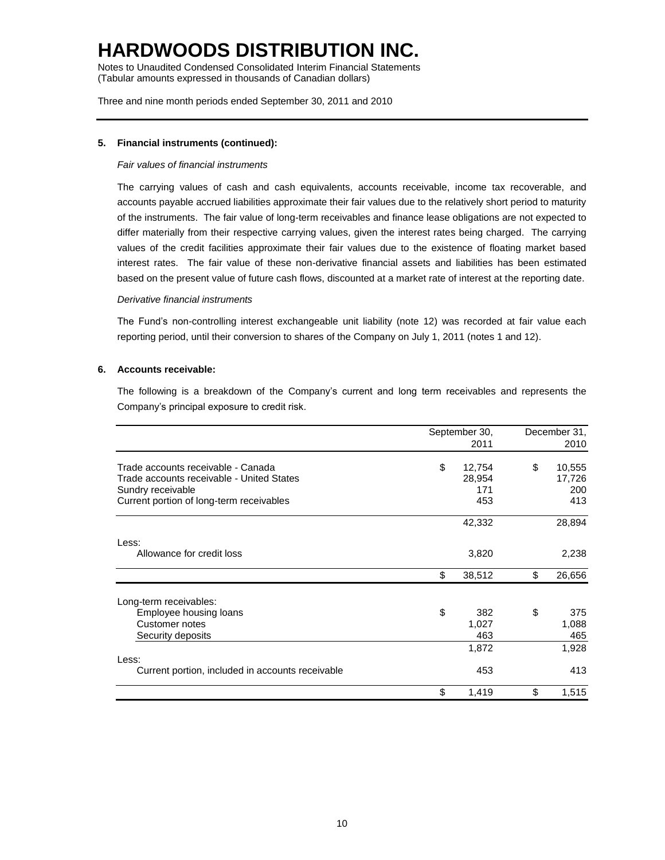Notes to Unaudited Condensed Consolidated Interim Financial Statements (Tabular amounts expressed in thousands of Canadian dollars)

Three and nine month periods ended September 30, 2011 and 2010

### **5. Financial instruments (continued):**

### *Fair values of financial instruments*

The carrying values of cash and cash equivalents, accounts receivable, income tax recoverable, and accounts payable accrued liabilities approximate their fair values due to the relatively short period to maturity of the instruments. The fair value of long-term receivables and finance lease obligations are not expected to differ materially from their respective carrying values, given the interest rates being charged. The carrying values of the credit facilities approximate their fair values due to the existence of floating market based interest rates. The fair value of these non-derivative financial assets and liabilities has been estimated based on the present value of future cash flows, discounted at a market rate of interest at the reporting date.

#### *Derivative financial instruments*

The Fund's non-controlling interest exchangeable unit liability (note 12) was recorded at fair value each reporting period, until their conversion to shares of the Company on July 1, 2011 (notes 1 and 12).

#### **6. Accounts receivable:**

The following is a breakdown of the Company's current and long term receivables and represents the Company's principal exposure to credit risk.

|                                                  | September 30, | December 31, |
|--------------------------------------------------|---------------|--------------|
|                                                  | 2011          | 2010         |
| Trade accounts receivable - Canada               | \$<br>12,754  | \$<br>10,555 |
| Trade accounts receivable - United States        | 28,954        | 17,726       |
| Sundry receivable                                | 171           | 200          |
| Current portion of long-term receivables         | 453           | 413          |
|                                                  | 42,332        | 28,894       |
| Less:                                            |               |              |
| Allowance for credit loss                        | 3,820         | 2,238        |
|                                                  | \$<br>38,512  | \$<br>26,656 |
| Long-term receivables:                           |               |              |
| Employee housing loans                           | \$<br>382     | \$<br>375    |
| Customer notes                                   | 1,027         | 1,088        |
| Security deposits                                | 463           | 465          |
|                                                  | 1,872         | 1,928        |
| Less:                                            |               |              |
| Current portion, included in accounts receivable | 453           | 413          |
|                                                  | \$<br>1,419   | \$<br>1,515  |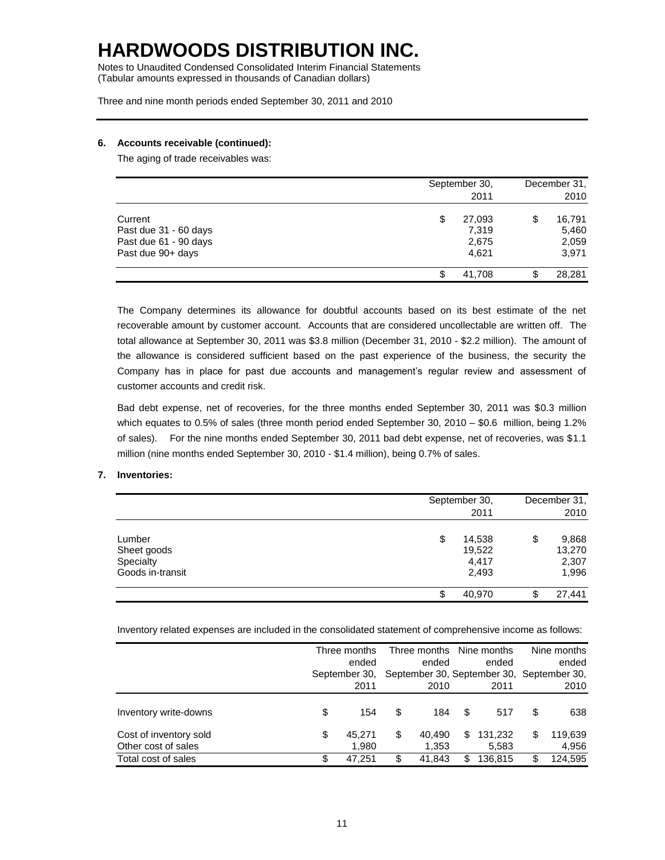Notes to Unaudited Condensed Consolidated Interim Financial Statements (Tabular amounts expressed in thousands of Canadian dollars)

Three and nine month periods ended September 30, 2011 and 2010

### **6. Accounts receivable (continued):**

The aging of trade receivables was:

|                                                                                | September 30,<br>2011                   | December 31,<br>2010                    |  |  |
|--------------------------------------------------------------------------------|-----------------------------------------|-----------------------------------------|--|--|
| Current<br>Past due 31 - 60 days<br>Past due 61 - 90 days<br>Past due 90+ days | \$<br>27,093<br>7,319<br>2,675<br>4,621 | \$<br>16,791<br>5,460<br>2,059<br>3,971 |  |  |
|                                                                                | 41,708<br>S                             | \$<br>28,281                            |  |  |

The Company determines its allowance for doubtful accounts based on its best estimate of the net recoverable amount by customer account. Accounts that are considered uncollectable are written off. The total allowance at September 30, 2011 was \$3.8 million (December 31, 2010 - \$2.2 million). The amount of the allowance is considered sufficient based on the past experience of the business, the security the Company has in place for past due accounts and management's regular review and assessment of customer accounts and credit risk.

Bad debt expense, net of recoveries, for the three months ended September 30, 2011 was \$0.3 million which equates to 0.5% of sales (three month period ended September 30, 2010 – \$0.6 million, being 1.2% of sales). For the nine months ended September 30, 2011 bad debt expense, net of recoveries, was \$1.1 million (nine months ended September 30, 2010 - \$1.4 million), being 0.7% of sales.

### **7. Inventories:**

|                                                        | September 30,<br>2011                    |    |                                   |  |
|--------------------------------------------------------|------------------------------------------|----|-----------------------------------|--|
| Lumber<br>Sheet goods<br>Specialty<br>Goods in-transit | \$<br>14,538<br>19,522<br>4,417<br>2,493 | \$ | 9,868<br>13,270<br>2,307<br>1,996 |  |
|                                                        | \$<br>40,970                             | \$ | 27,441                            |  |

Inventory related expenses are included in the consolidated statement of comprehensive income as follows:

|                                               | Three months<br>ended<br>September 30,<br>2011 |                 | Three months<br>Nine months<br>ended<br>ended<br>September 30, September 30, September 30,<br>2010<br>2011 |                 |    | Nine months<br>ended<br>2010 |    |                  |
|-----------------------------------------------|------------------------------------------------|-----------------|------------------------------------------------------------------------------------------------------------|-----------------|----|------------------------------|----|------------------|
| Inventory write-downs                         | \$                                             | 154             | \$                                                                                                         | 184             | S  | 517                          | \$ | 638              |
| Cost of inventory sold<br>Other cost of sales | \$                                             | 45.271<br>1.980 | \$                                                                                                         | 40.490<br>1,353 | \$ | 131,232<br>5,583             | \$ | 119,639<br>4,956 |
| Total cost of sales                           | \$                                             | 47.251          | \$                                                                                                         | 41.843          | \$ | 136.815                      | \$ | 124,595          |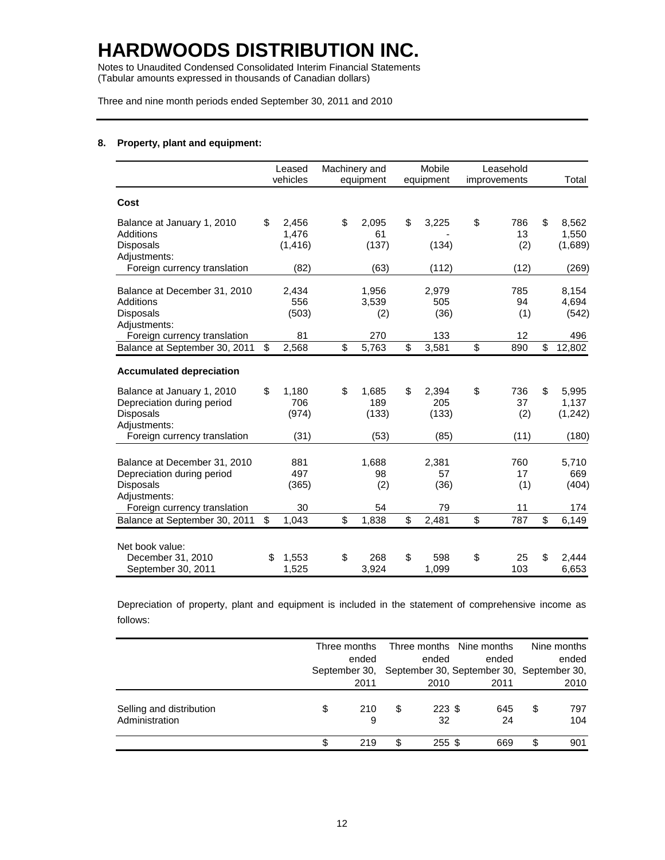Notes to Unaudited Condensed Consolidated Interim Financial Statements (Tabular amounts expressed in thousands of Canadian dollars)

Three and nine month periods ended September 30, 2011 and 2010

### **8. Property, plant and equipment:**

|                                                                                         | Leased<br>vehicles               | Machinery and<br>equipment  | Mobile<br>equipment         |                          | Leasehold<br>improvements | Total                           |
|-----------------------------------------------------------------------------------------|----------------------------------|-----------------------------|-----------------------------|--------------------------|---------------------------|---------------------------------|
| Cost                                                                                    |                                  |                             |                             |                          |                           |                                 |
| Balance at January 1, 2010<br>Additions<br><b>Disposals</b><br>Adjustments:             | \$<br>2,456<br>1,476<br>(1, 416) | \$<br>2,095<br>61<br>(137)  | \$<br>3,225<br>(134)        | \$                       | 786<br>13<br>(2)          | \$<br>8,562<br>1,550<br>(1,689) |
| Foreign currency translation                                                            | (82)                             | (63)                        | (112)                       |                          | (12)                      | (269)                           |
| Balance at December 31, 2010<br>Additions<br><b>Disposals</b><br>Adjustments:           | 2,434<br>556<br>(503)            | 1,956<br>3,539<br>(2)       | 2,979<br>505<br>(36)        |                          | 785<br>94<br>(1)          | 8,154<br>4,694<br>(542)         |
| Foreign currency translation                                                            | 81                               | 270                         | 133                         |                          | 12                        | 496                             |
| Balance at September 30, 2011                                                           | \$<br>2,568                      | \$<br>$\overline{5,763}$    | \$<br>3,581                 | $\overline{\mathcal{S}}$ | 890                       | \$<br>12,802                    |
| <b>Accumulated depreciation</b>                                                         |                                  |                             |                             |                          |                           |                                 |
| Balance at January 1, 2010<br>Depreciation during period<br>Disposals<br>Adjustments:   | \$<br>1,180<br>706<br>(974)      | \$<br>1,685<br>189<br>(133) | \$<br>2,394<br>205<br>(133) | \$                       | 736<br>37<br>(2)          | \$<br>5,995<br>1,137<br>(1,242) |
| Foreign currency translation                                                            | (31)                             | (53)                        | (85)                        |                          | (11)                      | (180)                           |
| Balance at December 31, 2010<br>Depreciation during period<br>Disposals<br>Adjustments: | 881<br>497<br>(365)              | 1,688<br>98<br>(2)          | 2,381<br>57<br>(36)         |                          | 760<br>17<br>(1)          | 5,710<br>669<br>(404)           |
| Foreign currency translation                                                            | 30                               | 54                          | 79                          |                          | 11                        | 174                             |
| Balance at September 30, 2011                                                           | \$<br>1,043                      | \$<br>1,838                 | \$<br>2,481                 | \$                       | 787                       | \$<br>6,149                     |
| Net book value:<br>December 31, 2010                                                    | \$<br>1,553                      | \$<br>268                   | \$<br>598                   | \$                       | 25                        | \$<br>2.444                     |
| September 30, 2011                                                                      | 1,525                            | 3,924                       | 1,099                       |                          | 103                       | 6,653                           |

Depreciation of property, plant and equipment is included in the statement of comprehensive income as follows:

|                                            | Three months   |    |                | Three months Nine months                  | Nine months      |
|--------------------------------------------|----------------|----|----------------|-------------------------------------------|------------------|
|                                            | ended          |    | ended          | ended                                     | ended            |
|                                            | September 30.  |    |                | September 30, September 30, September 30, |                  |
|                                            | 2011           |    | 2010           | 2011                                      | 2010             |
| Selling and distribution<br>Administration | \$<br>210<br>9 | \$ | $223$ \$<br>32 | 645<br>24                                 | \$<br>797<br>104 |
|                                            | 219            | S  | $255$ \$       | 669                                       | \$<br>901        |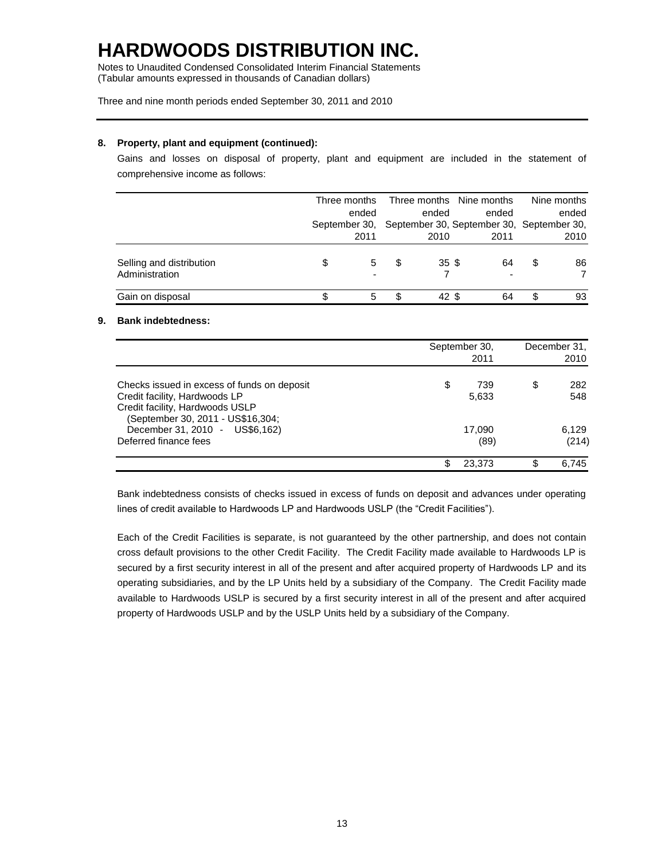Notes to Unaudited Condensed Consolidated Interim Financial Statements (Tabular amounts expressed in thousands of Canadian dollars)

### Three and nine month periods ended September 30, 2011 and 2010

### **8. Property, plant and equipment (continued):**

Gains and losses on disposal of property, plant and equipment are included in the statement of comprehensive income as follows:

|                                            |               | Three months |   |       | Three months Nine months                  |   | Nine months |
|--------------------------------------------|---------------|--------------|---|-------|-------------------------------------------|---|-------------|
|                                            |               | ended        |   | ended | ended                                     |   | ended       |
|                                            | September 30, |              |   |       | September 30, September 30, September 30, |   |             |
|                                            |               | 2011         |   | 2010  | 2011                                      |   | 2010        |
| Selling and distribution<br>Administration | \$            | 5            | S | 35S   | 64                                        | S | 86          |
| Gain on disposal                           |               | 5            |   | 42 \$ | 64                                        | S | 93          |

### **9. Bank indebtedness:**

|                                                                                                                                                                                        | September 30,<br>2011        | December 31,<br>2010      |
|----------------------------------------------------------------------------------------------------------------------------------------------------------------------------------------|------------------------------|---------------------------|
| Checks issued in excess of funds on deposit<br>Credit facility, Hardwoods LP<br>Credit facility, Hardwoods USLP<br>(September 30, 2011 - US\$16,304;<br>December 31, 2010 - US\$6,162) | \$<br>739<br>5,633<br>17,090 | \$<br>282<br>548<br>6,129 |
| Deferred finance fees                                                                                                                                                                  | (89)                         | (214)                     |
|                                                                                                                                                                                        | 23.373                       | 6.745                     |

Bank indebtedness consists of checks issued in excess of funds on deposit and advances under operating lines of credit available to Hardwoods LP and Hardwoods USLP (the "Credit Facilities").

Each of the Credit Facilities is separate, is not guaranteed by the other partnership, and does not contain cross default provisions to the other Credit Facility. The Credit Facility made available to Hardwoods LP is secured by a first security interest in all of the present and after acquired property of Hardwoods LP and its operating subsidiaries, and by the LP Units held by a subsidiary of the Company. The Credit Facility made available to Hardwoods USLP is secured by a first security interest in all of the present and after acquired property of Hardwoods USLP and by the USLP Units held by a subsidiary of the Company.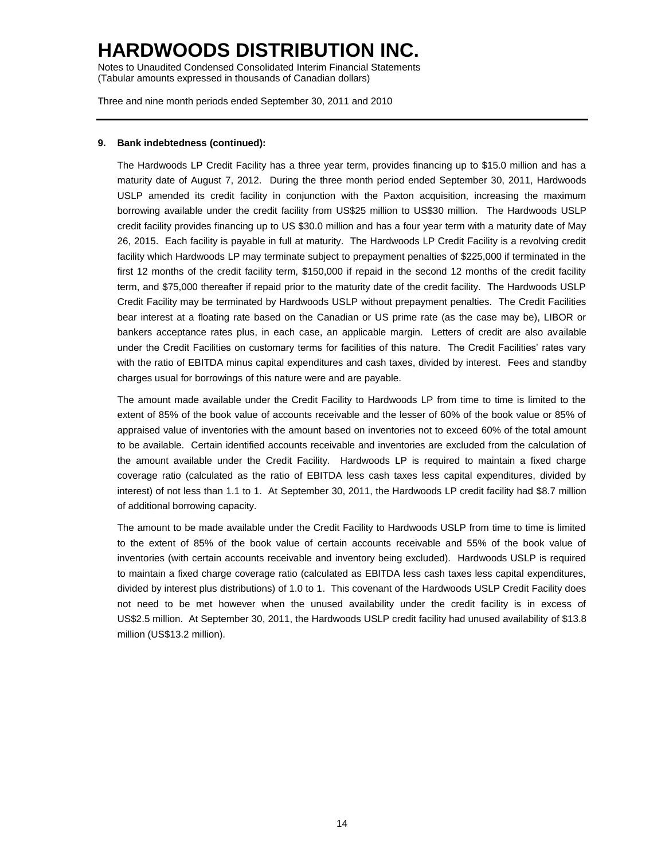Notes to Unaudited Condensed Consolidated Interim Financial Statements (Tabular amounts expressed in thousands of Canadian dollars)

Three and nine month periods ended September 30, 2011 and 2010

### **9. Bank indebtedness (continued):**

The Hardwoods LP Credit Facility has a three year term, provides financing up to \$15.0 million and has a maturity date of August 7, 2012. During the three month period ended September 30, 2011, Hardwoods USLP amended its credit facility in conjunction with the Paxton acquisition, increasing the maximum borrowing available under the credit facility from US\$25 million to US\$30 million. The Hardwoods USLP credit facility provides financing up to US \$30.0 million and has a four year term with a maturity date of May 26, 2015. Each facility is payable in full at maturity. The Hardwoods LP Credit Facility is a revolving credit facility which Hardwoods LP may terminate subject to prepayment penalties of \$225,000 if terminated in the first 12 months of the credit facility term, \$150,000 if repaid in the second 12 months of the credit facility term, and \$75,000 thereafter if repaid prior to the maturity date of the credit facility. The Hardwoods USLP Credit Facility may be terminated by Hardwoods USLP without prepayment penalties. The Credit Facilities bear interest at a floating rate based on the Canadian or US prime rate (as the case may be), LIBOR or bankers acceptance rates plus, in each case, an applicable margin. Letters of credit are also available under the Credit Facilities on customary terms for facilities of this nature. The Credit Facilities' rates vary with the ratio of EBITDA minus capital expenditures and cash taxes, divided by interest. Fees and standby charges usual for borrowings of this nature were and are payable.

The amount made available under the Credit Facility to Hardwoods LP from time to time is limited to the extent of 85% of the book value of accounts receivable and the lesser of 60% of the book value or 85% of appraised value of inventories with the amount based on inventories not to exceed 60% of the total amount to be available. Certain identified accounts receivable and inventories are excluded from the calculation of the amount available under the Credit Facility. Hardwoods LP is required to maintain a fixed charge coverage ratio (calculated as the ratio of EBITDA less cash taxes less capital expenditures, divided by interest) of not less than 1.1 to 1. At September 30, 2011, the Hardwoods LP credit facility had \$8.7 million of additional borrowing capacity.

The amount to be made available under the Credit Facility to Hardwoods USLP from time to time is limited to the extent of 85% of the book value of certain accounts receivable and 55% of the book value of inventories (with certain accounts receivable and inventory being excluded). Hardwoods USLP is required to maintain a fixed charge coverage ratio (calculated as EBITDA less cash taxes less capital expenditures, divided by interest plus distributions) of 1.0 to 1. This covenant of the Hardwoods USLP Credit Facility does not need to be met however when the unused availability under the credit facility is in excess of US\$2.5 million. At September 30, 2011, the Hardwoods USLP credit facility had unused availability of \$13.8 million (US\$13.2 million).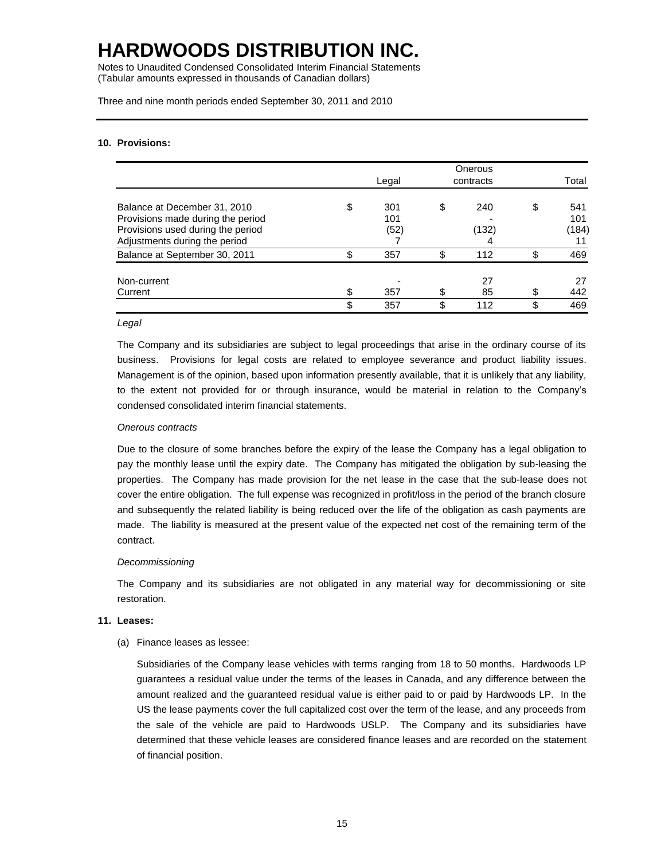Notes to Unaudited Condensed Consolidated Interim Financial Statements (Tabular amounts expressed in thousands of Canadian dollars)

Three and nine month periods ended September 30, 2011 and 2010

### **10. Provisions:**

|                                                                                                                                         |    |                    | Onerous            |                                 |
|-----------------------------------------------------------------------------------------------------------------------------------------|----|--------------------|--------------------|---------------------------------|
|                                                                                                                                         |    | Legal              | contracts          | Total                           |
| Balance at December 31, 2010<br>Provisions made during the period<br>Provisions used during the period<br>Adjustments during the period | \$ | 301<br>101<br>(52) | \$<br>240<br>(132) | \$<br>541<br>101<br>(184)<br>11 |
| Balance at September 30, 2011                                                                                                           | ጥ  | 357                | \$<br>112          | \$<br>469                       |
| Non-current<br>Current                                                                                                                  |    | 357                | 27<br>85           | \$<br>27<br>442                 |
|                                                                                                                                         | \$ | 357                | \$<br>112          | \$<br>469                       |

#### *Legal*

The Company and its subsidiaries are subject to legal proceedings that arise in the ordinary course of its business. Provisions for legal costs are related to employee severance and product liability issues. Management is of the opinion, based upon information presently available, that it is unlikely that any liability, to the extent not provided for or through insurance, would be material in relation to the Company's condensed consolidated interim financial statements.

#### *Onerous contracts*

Due to the closure of some branches before the expiry of the lease the Company has a legal obligation to pay the monthly lease until the expiry date. The Company has mitigated the obligation by sub-leasing the properties. The Company has made provision for the net lease in the case that the sub-lease does not cover the entire obligation. The full expense was recognized in profit/loss in the period of the branch closure and subsequently the related liability is being reduced over the life of the obligation as cash payments are made. The liability is measured at the present value of the expected net cost of the remaining term of the contract.

#### *Decommissioning*

The Company and its subsidiaries are not obligated in any material way for decommissioning or site restoration.

#### **11. Leases:**

(a) Finance leases as lessee:

Subsidiaries of the Company lease vehicles with terms ranging from 18 to 50 months. Hardwoods LP guarantees a residual value under the terms of the leases in Canada, and any difference between the amount realized and the guaranteed residual value is either paid to or paid by Hardwoods LP. In the US the lease payments cover the full capitalized cost over the term of the lease, and any proceeds from the sale of the vehicle are paid to Hardwoods USLP. The Company and its subsidiaries have determined that these vehicle leases are considered finance leases and are recorded on the statement of financial position.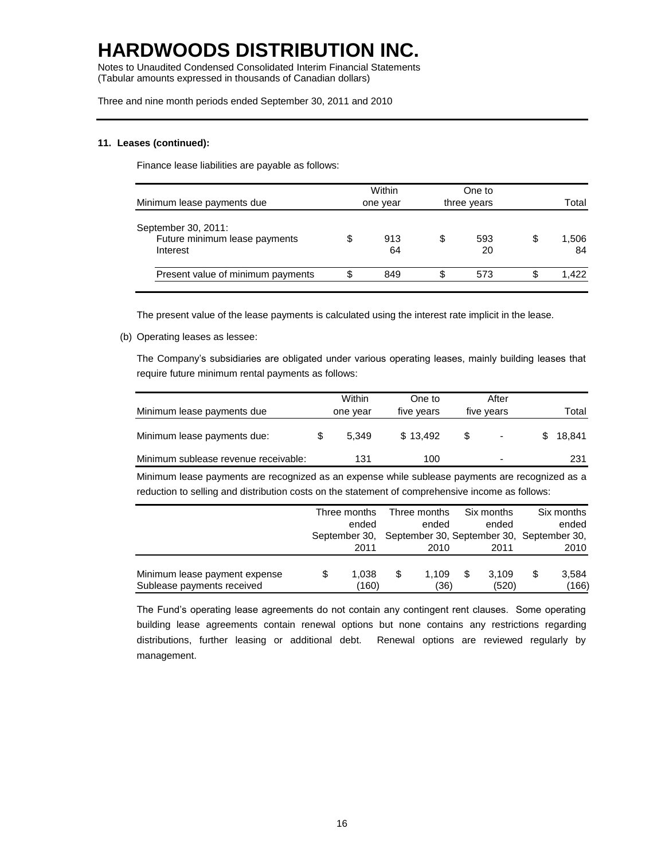Notes to Unaudited Condensed Consolidated Interim Financial Statements (Tabular amounts expressed in thousands of Canadian dollars)

Three and nine month periods ended September 30, 2011 and 2010

### **11. Leases (continued):**

Finance lease liabilities are payable as follows:

| Minimum lease payments due                                       | Within<br>one year |    | One to<br>three years | Total             |
|------------------------------------------------------------------|--------------------|----|-----------------------|-------------------|
| September 30, 2011:<br>Future minimum lease payments<br>Interest | 913<br>64          | \$ | 593<br>20             | \$<br>1,506<br>84 |
| Present value of minimum payments                                | 849                | S  | 573                   | \$<br>1.422       |

The present value of the lease payments is calculated using the interest rate implicit in the lease.

#### (b) Operating leases as lessee:

The Company's subsidiaries are obligated under various operating leases, mainly building leases that require future minimum rental payments as follows:

| Minimum lease payments due           | Within<br>one year | One to<br>five years |    | After<br>five years      | Total    |
|--------------------------------------|--------------------|----------------------|----|--------------------------|----------|
| Minimum lease payments due:          | 5.349              | \$13.492             | S. | $\overline{\phantom{0}}$ | \$18.841 |
| Minimum sublease revenue receivable: | 131                | 100                  |    | $\overline{\phantom{a}}$ | 231      |

Minimum lease payments are recognized as an expense while sublease payments are recognized as a reduction to selling and distribution costs on the statement of comprehensive income as follows:

|                               | Three months  |   | Three months |     | Six months | Six months                                |
|-------------------------------|---------------|---|--------------|-----|------------|-------------------------------------------|
|                               | ended         |   | ended        |     | ended      | ended                                     |
|                               | September 30, |   |              |     |            | September 30, September 30, September 30, |
|                               | 2011          |   | 2010         |     | 2011       | 2010                                      |
| Minimum lease payment expense | 1.038         | S | 1.109        | \$. | 3.109      | \$<br>3,584                               |
| Sublease payments received    | (160)         |   | (36)         |     | (520)      | (166)                                     |

The Fund's operating lease agreements do not contain any contingent rent clauses. Some operating building lease agreements contain renewal options but none contains any restrictions regarding distributions, further leasing or additional debt. Renewal options are reviewed regularly by management.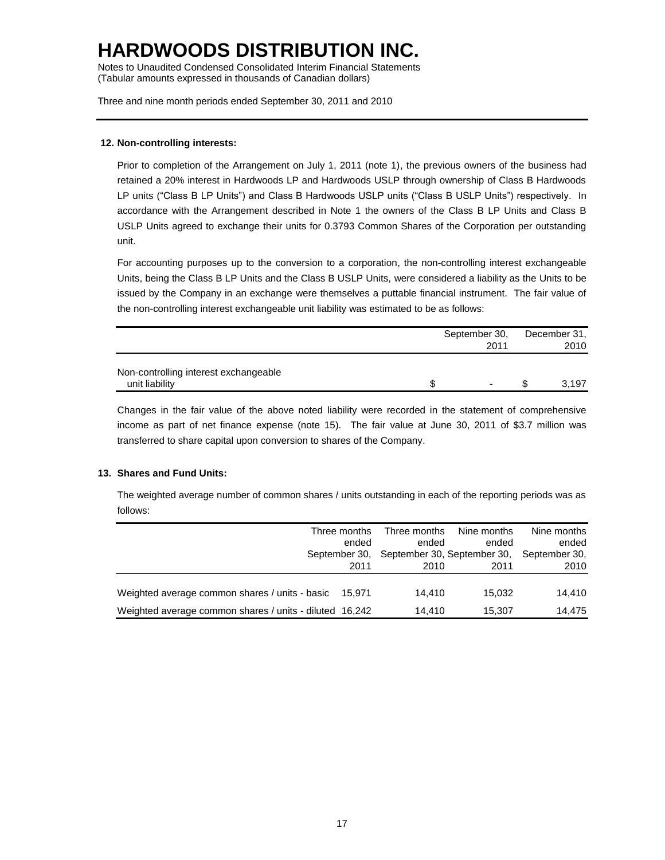Notes to Unaudited Condensed Consolidated Interim Financial Statements (Tabular amounts expressed in thousands of Canadian dollars)

Three and nine month periods ended September 30, 2011 and 2010

### **12. Non-controlling interests:**

Prior to completion of the Arrangement on July 1, 2011 (note 1), the previous owners of the business had retained a 20% interest in Hardwoods LP and Hardwoods USLP through ownership of Class B Hardwoods LP units ("Class B LP Units") and Class B Hardwoods USLP units ("Class B USLP Units") respectively. In accordance with the Arrangement described in Note 1 the owners of the Class B LP Units and Class B USLP Units agreed to exchange their units for 0.3793 Common Shares of the Corporation per outstanding unit.

For accounting purposes up to the conversion to a corporation, the non-controlling interest exchangeable Units, being the Class B LP Units and the Class B USLP Units, were considered a liability as the Units to be issued by the Company in an exchange were themselves a puttable financial instrument. The fair value of the non-controlling interest exchangeable unit liability was estimated to be as follows:

|                                       | September 30, |      |  | December 31, |
|---------------------------------------|---------------|------|--|--------------|
|                                       |               | 2011 |  | 2010         |
|                                       |               |      |  |              |
| Non-controlling interest exchangeable |               |      |  |              |
| unit liability                        |               | ۰    |  | 3.197        |

Changes in the fair value of the above noted liability were recorded in the statement of comprehensive income as part of net finance expense (note 15). The fair value at June 30, 2011 of \$3.7 million was transferred to share capital upon conversion to shares of the Company.

### **13. Shares and Fund Units:**

The weighted average number of common shares / units outstanding in each of the reporting periods was as follows:

|                                                         | Three months<br>ended | Three months<br>ended | Nine months<br>ended<br>September 30, September 30, September 30, September 30, | Nine months<br>ended |
|---------------------------------------------------------|-----------------------|-----------------------|---------------------------------------------------------------------------------|----------------------|
|                                                         | 2011                  | 2010                  | 2011                                                                            | 2010                 |
| Weighted average common shares / units - basic 15,971   |                       | 14.410                | 15.032                                                                          | 14.410               |
|                                                         |                       |                       |                                                                                 |                      |
| Weighted average common shares / units - diluted 16,242 |                       | 14.410                | 15.307                                                                          | 14.475               |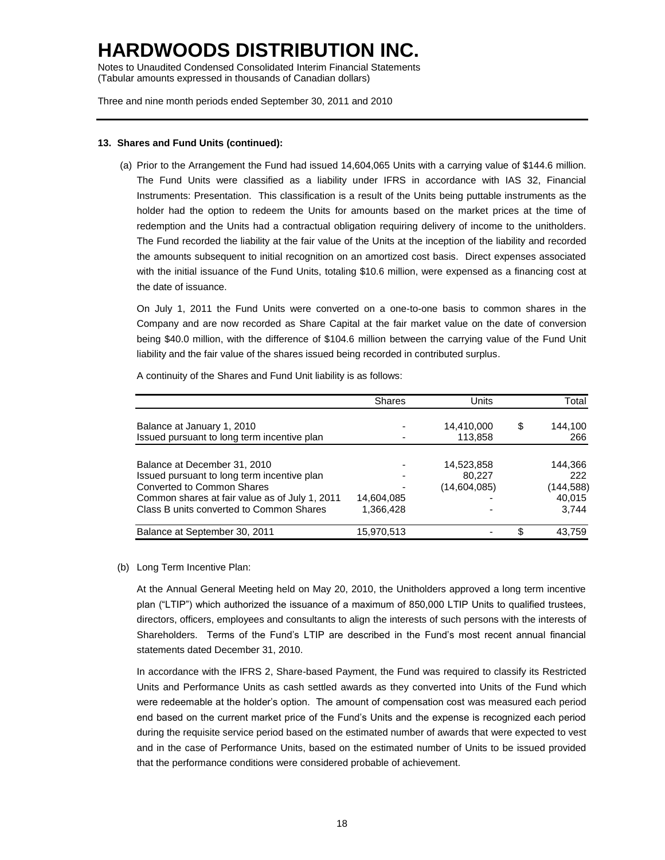Notes to Unaudited Condensed Consolidated Interim Financial Statements (Tabular amounts expressed in thousands of Canadian dollars)

Three and nine month periods ended September 30, 2011 and 2010

### **13. Shares and Fund Units (continued):**

(a) Prior to the Arrangement the Fund had issued 14,604,065 Units with a carrying value of \$144.6 million. The Fund Units were classified as a liability under IFRS in accordance with IAS 32, Financial Instruments: Presentation. This classification is a result of the Units being puttable instruments as the holder had the option to redeem the Units for amounts based on the market prices at the time of redemption and the Units had a contractual obligation requiring delivery of income to the unitholders. The Fund recorded the liability at the fair value of the Units at the inception of the liability and recorded the amounts subsequent to initial recognition on an amortized cost basis. Direct expenses associated with the initial issuance of the Fund Units, totaling \$10.6 million, were expensed as a financing cost at the date of issuance.

On July 1, 2011 the Fund Units were converted on a one-to-one basis to common shares in the Company and are now recorded as Share Capital at the fair market value on the date of conversion being \$40.0 million, with the difference of \$104.6 million between the carrying value of the Fund Unit liability and the fair value of the shares issued being recorded in contributed surplus.

|                                                | Shares                   | Units        | Total         |
|------------------------------------------------|--------------------------|--------------|---------------|
|                                                |                          |              |               |
| Balance at January 1, 2010                     |                          | 14,410,000   | \$<br>144,100 |
| Issued pursuant to long term incentive plan    |                          | 113,858      | 266           |
|                                                |                          |              |               |
| Balance at December 31, 2010                   |                          | 14,523,858   | 144,366       |
| Issued pursuant to long term incentive plan    | $\overline{\phantom{0}}$ | 80.227       | 222.          |
| Converted to Common Shares                     |                          | (14,604,085) | (144, 588)    |
| Common shares at fair value as of July 1, 2011 | 14,604,085               |              | 40.015        |
| Class B units converted to Common Shares       | 1,366,428                |              | 3.744         |
| Balance at September 30, 2011                  | 15,970,513               |              | \$<br>43,759  |

A continuity of the Shares and Fund Unit liability is as follows:

#### (b) Long Term Incentive Plan:

At the Annual General Meeting held on May 20, 2010, the Unitholders approved a long term incentive plan ("LTIP") which authorized the issuance of a maximum of 850,000 LTIP Units to qualified trustees, directors, officers, employees and consultants to align the interests of such persons with the interests of Shareholders. Terms of the Fund's LTIP are described in the Fund's most recent annual financial statements dated December 31, 2010.

In accordance with the IFRS 2, Share-based Payment, the Fund was required to classify its Restricted Units and Performance Units as cash settled awards as they converted into Units of the Fund which were redeemable at the holder's option. The amount of compensation cost was measured each period end based on the current market price of the Fund's Units and the expense is recognized each period during the requisite service period based on the estimated number of awards that were expected to vest and in the case of Performance Units, based on the estimated number of Units to be issued provided that the performance conditions were considered probable of achievement.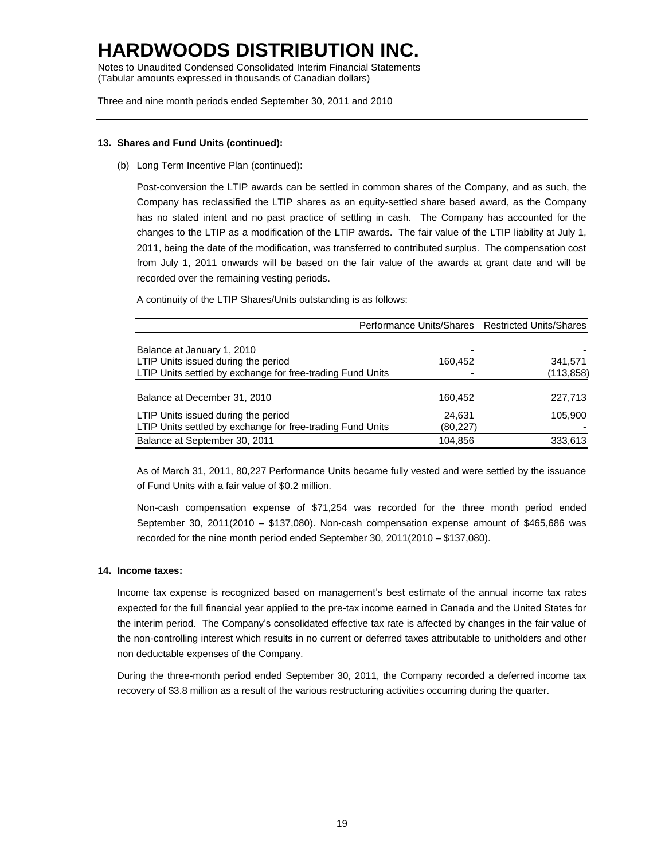Notes to Unaudited Condensed Consolidated Interim Financial Statements (Tabular amounts expressed in thousands of Canadian dollars)

Three and nine month periods ended September 30, 2011 and 2010

### **13. Shares and Fund Units (continued):**

(b) Long Term Incentive Plan (continued):

Post-conversion the LTIP awards can be settled in common shares of the Company, and as such, the Company has reclassified the LTIP shares as an equity-settled share based award, as the Company has no stated intent and no past practice of settling in cash. The Company has accounted for the changes to the LTIP as a modification of the LTIP awards. The fair value of the LTIP liability at July 1, 2011, being the date of the modification, was transferred to contributed surplus. The compensation cost from July 1, 2011 onwards will be based on the fair value of the awards at grant date and will be recorded over the remaining vesting periods.

A continuity of the LTIP Shares/Units outstanding is as follows:

|                                                            | Performance Units/Shares Restricted Units/Shares |            |
|------------------------------------------------------------|--------------------------------------------------|------------|
|                                                            |                                                  |            |
| Balance at January 1, 2010                                 |                                                  |            |
| LTIP Units issued during the period                        | 160,452                                          | 341,571    |
| LTIP Units settled by exchange for free-trading Fund Units |                                                  | (113, 858) |
|                                                            |                                                  |            |
| Balance at December 31, 2010                               | 160,452                                          | 227,713    |
| LTIP Units issued during the period                        | 24.631                                           | 105.900    |
| LTIP Units settled by exchange for free-trading Fund Units | (80,227)                                         |            |
| Balance at September 30, 2011                              | 104,856                                          | 333,613    |

As of March 31, 2011, 80,227 Performance Units became fully vested and were settled by the issuance of Fund Units with a fair value of \$0.2 million.

Non-cash compensation expense of \$71,254 was recorded for the three month period ended September 30, 2011(2010 – \$137,080). Non-cash compensation expense amount of \$465,686 was recorded for the nine month period ended September 30, 2011(2010 – \$137,080).

### **14. Income taxes:**

Income tax expense is recognized based on management's best estimate of the annual income tax rates expected for the full financial year applied to the pre-tax income earned in Canada and the United States for the interim period. The Company's consolidated effective tax rate is affected by changes in the fair value of the non-controlling interest which results in no current or deferred taxes attributable to unitholders and other non deductable expenses of the Company.

During the three-month period ended September 30, 2011, the Company recorded a deferred income tax recovery of \$3.8 million as a result of the various restructuring activities occurring during the quarter.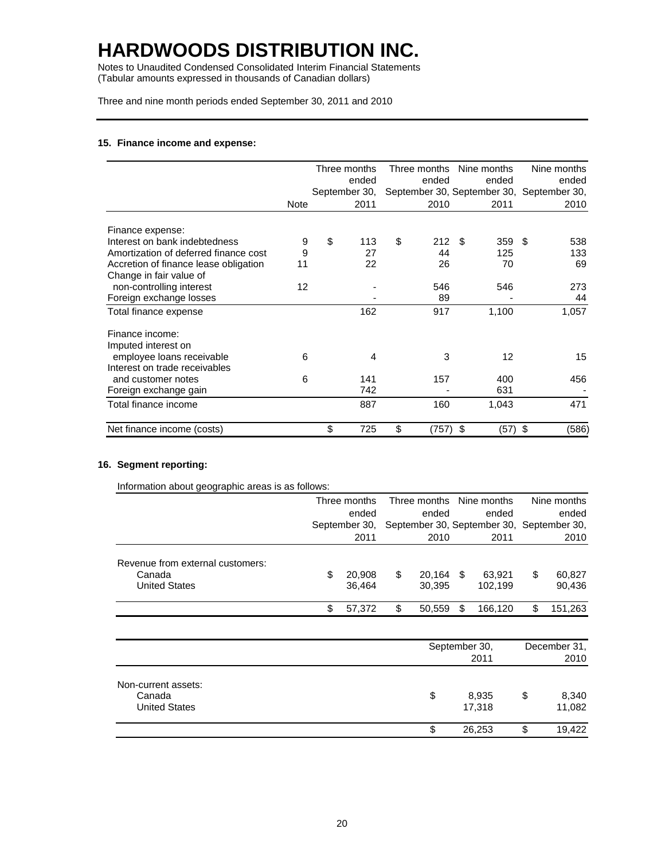Notes to Unaudited Condensed Consolidated Interim Financial Statements (Tabular amounts expressed in thousands of Canadian dollars)

Three and nine month periods ended September 30, 2011 and 2010

### **15. Finance income and expense:**

|                                       |             | Three months  | Three months Nine months |                 | Nine months                               |
|---------------------------------------|-------------|---------------|--------------------------|-----------------|-------------------------------------------|
|                                       |             | ended         | ended                    | ended           | ended                                     |
|                                       |             | September 30, |                          |                 | September 30, September 30, September 30, |
|                                       | <b>Note</b> | 2011          | 2010                     | 2011            | 2010                                      |
| Finance expense:                      |             |               |                          |                 |                                           |
| Interest on bank indebtedness         | 9           | \$<br>113     | \$<br>212                | \$<br>359       | \$<br>538                                 |
| Amortization of deferred finance cost | 9           | 27            | 44                       | 125             | 133                                       |
| Accretion of finance lease obligation | 11          | 22            | 26                       | 70              | 69                                        |
| Change in fair value of               |             |               |                          |                 |                                           |
| non-controlling interest              | 12          |               | 546                      | 546             | 273                                       |
| Foreign exchange losses               |             |               | 89                       |                 | 44                                        |
| Total finance expense                 |             | 162           | 917                      | 1,100           | 1,057                                     |
| Finance income:                       |             |               |                          |                 |                                           |
| Imputed interest on                   |             |               |                          |                 |                                           |
| employee loans receivable             | 6           | 4             | 3                        | 12              | 15                                        |
| Interest on trade receivables         |             |               |                          |                 |                                           |
| and customer notes                    | 6           | 141           | 157                      | 400             | 456                                       |
| Foreign exchange gain                 |             | 742           |                          | 631             |                                           |
| Total finance income                  |             | 887           | 160                      | 1,043           | 471                                       |
| Net finance income (costs)            |             | \$<br>725     | \$<br>(757)              | \$<br>$(57)$ \$ | (586)                                     |

#### **16. Segment reporting:**

|                                  |               | Three months |                                           | Three months  |      | Nine months |              | Nine months |
|----------------------------------|---------------|--------------|-------------------------------------------|---------------|------|-------------|--------------|-------------|
|                                  |               | ended        |                                           | ended         |      | ended       |              | ended       |
|                                  | September 30, |              | September 30, September 30, September 30, |               |      |             |              |             |
|                                  |               | 2011         |                                           | 2010          |      | 2011        |              | 2010        |
| Revenue from external customers: |               |              |                                           |               |      |             |              |             |
| Canada                           | \$            | 20,908       | \$                                        | 20,164        | - \$ | 63,921      | \$           | 60,827      |
| <b>United States</b>             |               | 36,464       |                                           | 30,395        |      | 102,199     |              | 90,436      |
|                                  | \$            | 57,372       | \$                                        | 50,559        | \$   | 166,120     | \$           | 151,263     |
|                                  |               |              |                                           |               |      |             |              |             |
|                                  |               |              |                                           | September 30, |      |             | December 31, |             |
|                                  |               |              |                                           |               |      | 2011        |              | 2010        |
| Non-current assets:              |               |              |                                           |               |      |             |              |             |
| Canada                           |               |              |                                           | \$            |      | 8,935       | \$           | 8,340       |
| <b>United States</b>             |               |              |                                           |               |      | 17,318      |              | 11,082      |
|                                  |               |              |                                           | \$            |      | 26,253      | \$           | 19,422      |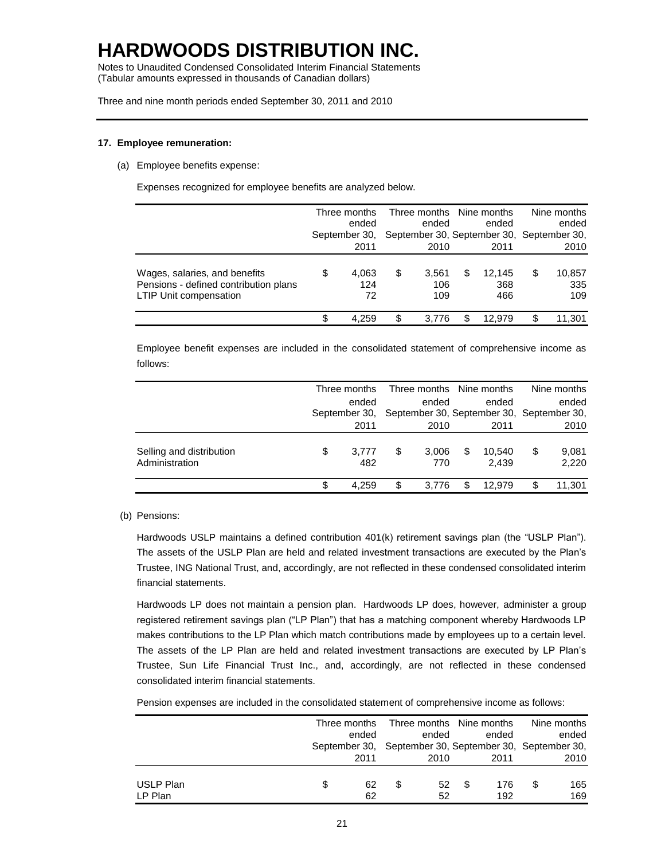Notes to Unaudited Condensed Consolidated Interim Financial Statements (Tabular amounts expressed in thousands of Canadian dollars)

Three and nine month periods ended September 30, 2011 and 2010

### **17. Employee remuneration:**

(a) Employee benefits expense:

Expenses recognized for employee benefits are analyzed below.

|                                                                                                         | Three months<br>ended<br>September 30, |                    | Three months Nine months<br>ended<br>September 30, September 30, September 30, |   | ended                |    | Nine months<br>ended |
|---------------------------------------------------------------------------------------------------------|----------------------------------------|--------------------|--------------------------------------------------------------------------------|---|----------------------|----|----------------------|
|                                                                                                         |                                        | 2011               | 2010                                                                           |   | 2011                 |    | 2010                 |
| Wages, salaries, and benefits<br>Pensions - defined contribution plans<br><b>LTIP Unit compensation</b> | \$                                     | 4,063<br>124<br>72 | \$<br>3,561<br>106<br>109                                                      | S | 12.145<br>368<br>466 | \$ | 10,857<br>335<br>109 |
|                                                                                                         |                                        | 4.259              | 3.776                                                                          |   | 12.979               | \$ | 11.301               |

Employee benefit expenses are included in the consolidated statement of comprehensive income as follows:

|                                            | Three months |               |    | Three months Nine months |   |                                           | Nine months          |
|--------------------------------------------|--------------|---------------|----|--------------------------|---|-------------------------------------------|----------------------|
|                                            |              | ended         |    | ended                    |   | ended                                     | ended                |
|                                            |              | September 30, |    |                          |   | September 30, September 30, September 30, |                      |
|                                            |              | 2011          |    | 2010                     |   | 2011                                      | 2010                 |
| Selling and distribution<br>Administration | \$           | 3.777<br>482  | S  | 3,006<br>770             | S | 10.540<br>2,439                           | \$<br>9.081<br>2,220 |
|                                            | \$           | 4.259         | \$ | 3.776                    |   | 12.979                                    | \$<br>11,301         |

#### (b) Pensions:

Hardwoods USLP maintains a defined contribution 401(k) retirement savings plan (the "USLP Plan"). The assets of the USLP Plan are held and related investment transactions are executed by the Plan's Trustee, ING National Trust, and, accordingly, are not reflected in these condensed consolidated interim financial statements.

Hardwoods LP does not maintain a pension plan. Hardwoods LP does, however, administer a group registered retirement savings plan ("LP Plan") that has a matching component whereby Hardwoods LP makes contributions to the LP Plan which match contributions made by employees up to a certain level. The assets of the LP Plan are held and related investment transactions are executed by LP Plan's Trustee, Sun Life Financial Trust Inc., and, accordingly, are not reflected in these condensed consolidated interim financial statements.

Pension expenses are included in the consolidated statement of comprehensive income as follows:

|           | Three months                                            |   | Three months Nine months |   |       | Nine months |
|-----------|---------------------------------------------------------|---|--------------------------|---|-------|-------------|
|           | ended                                                   |   | ended                    |   | ended | ended       |
|           | September 30, September 30, September 30, September 30, |   |                          |   |       |             |
|           | 2011                                                    |   | 2010                     |   | 2011  | 2010        |
|           |                                                         |   |                          |   |       |             |
| USLP Plan | 62                                                      | S | 52                       | S | 176   | 165         |
| LP Plan   | 62                                                      |   | 52                       |   | 192   | 169         |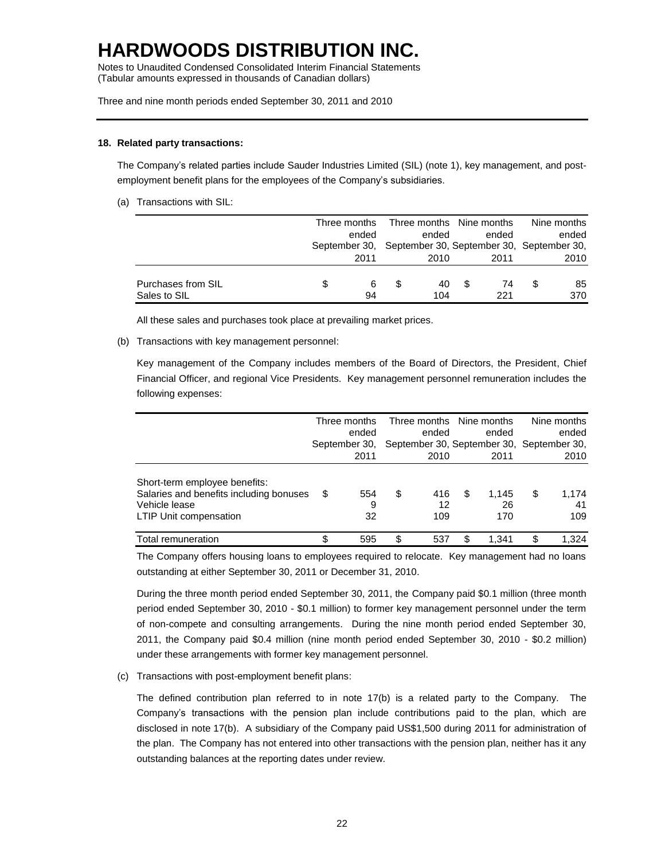Notes to Unaudited Condensed Consolidated Interim Financial Statements (Tabular amounts expressed in thousands of Canadian dollars)

Three and nine month periods ended September 30, 2011 and 2010

#### **18. Related party transactions:**

The Company's related parties include Sauder Industries Limited (SIL) (note 1), key management, and postemployment benefit plans for the employees of the Company's subsidiaries.

(a) Transactions with SIL:

|                    | Three months | Three months Nine months                                |     |       | Nine months |
|--------------------|--------------|---------------------------------------------------------|-----|-------|-------------|
|                    | ended        | ended                                                   |     | ended | ended       |
|                    |              | September 30, September 30, September 30, September 30, |     |       |             |
|                    | 2011         | 2010                                                    |     | 2011  | 2010        |
| Purchases from SIL | 6            | 40.                                                     | \$. | 74    | 85          |
| Sales to SIL       | 94           | 104                                                     |     | 221   | 370         |

All these sales and purchases took place at prevailing market prices.

(b) Transactions with key management personnel:

Key management of the Company includes members of the Board of Directors, the President, Chief Financial Officer, and regional Vice Presidents. Key management personnel remuneration includes the following expenses:

|                                                                                                                            |    | Three months<br>ended | Three months Nine months<br>ended         |    | ended              | Nine months<br>ended     |
|----------------------------------------------------------------------------------------------------------------------------|----|-----------------------|-------------------------------------------|----|--------------------|--------------------------|
|                                                                                                                            |    | September 30,         | September 30, September 30, September 30, |    |                    |                          |
|                                                                                                                            |    | 2011                  | 2010                                      |    | 2011               | 2010                     |
| Short-term employee benefits:<br>Salaries and benefits including bonuses<br>Vehicle lease<br><b>LTIP Unit compensation</b> | S  | 554<br>9<br>32        | \$<br>416<br>12<br>109                    | \$ | 1.145<br>26<br>170 | \$<br>1,174<br>41<br>109 |
| Total remuneration                                                                                                         | \$ | 595                   | \$<br>537                                 | S  | 1.341              | \$<br>1.324              |

The Company offers housing loans to employees required to relocate. Key management had no loans outstanding at either September 30, 2011 or December 31, 2010.

During the three month period ended September 30, 2011, the Company paid \$0.1 million (three month period ended September 30, 2010 - \$0.1 million) to former key management personnel under the term of non-compete and consulting arrangements. During the nine month period ended September 30, 2011, the Company paid \$0.4 million (nine month period ended September 30, 2010 - \$0.2 million) under these arrangements with former key management personnel.

#### (c) Transactions with post-employment benefit plans:

The defined contribution plan referred to in note 17(b) is a related party to the Company. The Company's transactions with the pension plan include contributions paid to the plan, which are disclosed in note 17(b). A subsidiary of the Company paid US\$1,500 during 2011 for administration of the plan. The Company has not entered into other transactions with the pension plan, neither has it any outstanding balances at the reporting dates under review.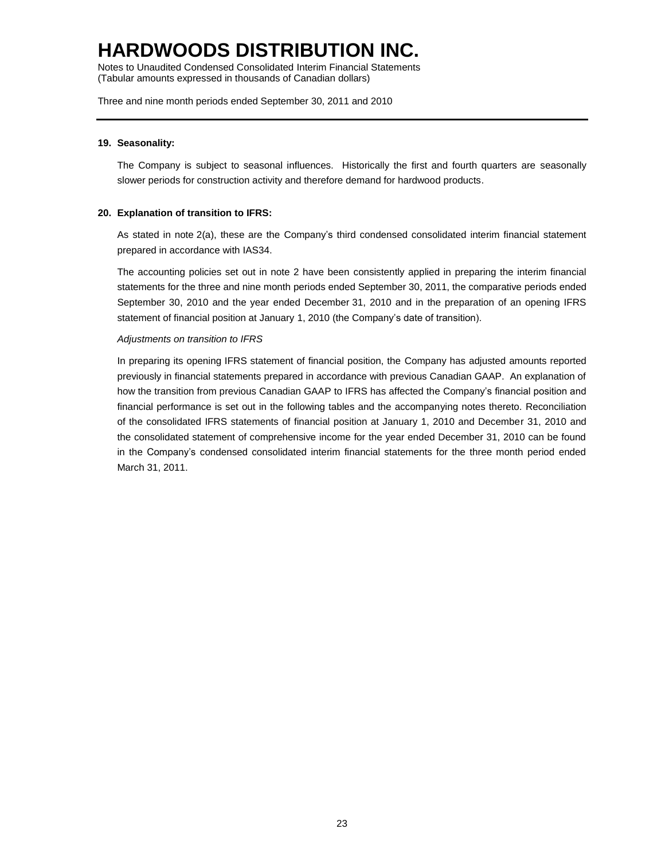Notes to Unaudited Condensed Consolidated Interim Financial Statements (Tabular amounts expressed in thousands of Canadian dollars)

Three and nine month periods ended September 30, 2011 and 2010

### **19. Seasonality:**

The Company is subject to seasonal influences. Historically the first and fourth quarters are seasonally slower periods for construction activity and therefore demand for hardwood products.

#### **20. Explanation of transition to IFRS:**

As stated in note 2(a), these are the Company's third condensed consolidated interim financial statement prepared in accordance with IAS34.

The accounting policies set out in note 2 have been consistently applied in preparing the interim financial statements for the three and nine month periods ended September 30, 2011, the comparative periods ended September 30, 2010 and the year ended December 31, 2010 and in the preparation of an opening IFRS statement of financial position at January 1, 2010 (the Company's date of transition).

#### *Adjustments on transition to IFRS*

In preparing its opening IFRS statement of financial position, the Company has adjusted amounts reported previously in financial statements prepared in accordance with previous Canadian GAAP. An explanation of how the transition from previous Canadian GAAP to IFRS has affected the Company's financial position and financial performance is set out in the following tables and the accompanying notes thereto. Reconciliation of the consolidated IFRS statements of financial position at January 1, 2010 and December 31, 2010 and the consolidated statement of comprehensive income for the year ended December 31, 2010 can be found in the Company's condensed consolidated interim financial statements for the three month period ended March 31, 2011.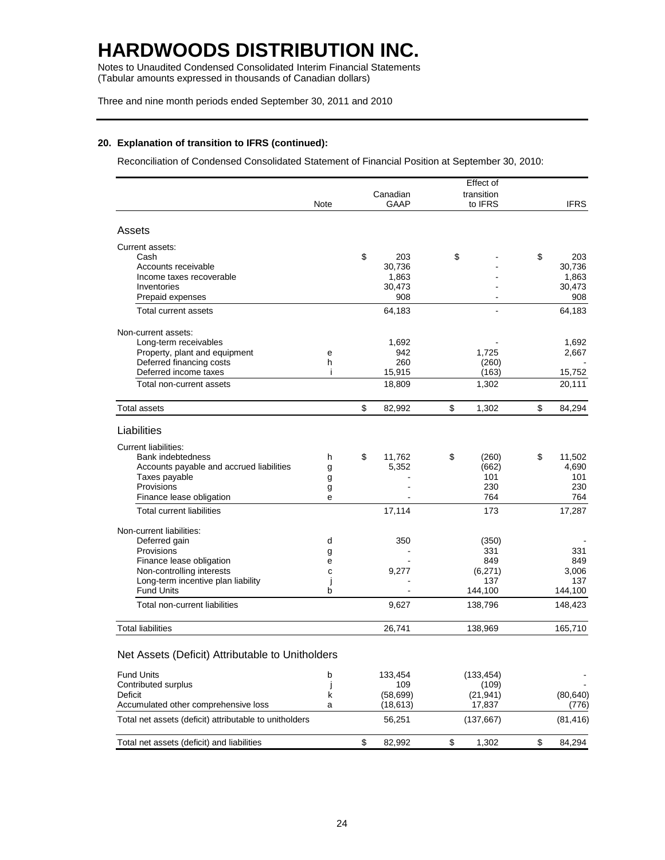Notes to Unaudited Condensed Consolidated Interim Financial Statements (Tabular amounts expressed in thousands of Canadian dollars)

Three and nine month periods ended September 30, 2011 and 2010

### **20. Explanation of transition to IFRS (continued):**

Reconciliation of Condensed Consolidated Statement of Financial Position at September 30, 2010:

|                                                                 |        |              | Effect of      |              |
|-----------------------------------------------------------------|--------|--------------|----------------|--------------|
|                                                                 |        | Canadian     | transition     |              |
|                                                                 | Note   | <b>GAAP</b>  | to IFRS        | <b>IFRS</b>  |
| Assets                                                          |        |              |                |              |
| Current assets:                                                 |        |              |                |              |
| Cash                                                            |        | \$<br>203    | \$             | \$<br>203    |
| Accounts receivable                                             |        | 30,736       |                | 30,736       |
| Income taxes recoverable                                        |        | 1,863        |                | 1,863        |
| Inventories                                                     |        | 30,473       |                | 30,473       |
| Prepaid expenses                                                |        | 908          |                | 908          |
| Total current assets                                            |        | 64,183       |                | 64,183       |
| Non-current assets:                                             |        |              |                |              |
| Long-term receivables                                           |        | 1,692        |                | 1,692        |
| Property, plant and equipment                                   | e      | 942          | 1,725          | 2,667        |
| Deferred financing costs                                        | h      | 260          | (260)          |              |
| Deferred income taxes                                           | Ť      | 15,915       | (163)          | 15,752       |
| Total non-current assets                                        |        | 18,809       | 1,302          | 20,111       |
| Total assets                                                    |        | \$<br>82,992 | \$<br>1,302    | \$<br>84,294 |
| Liabilities                                                     |        |              |                |              |
| Current liabilities:                                            |        |              |                |              |
| <b>Bank indebtedness</b>                                        |        | \$<br>11,762 | (260)          | 11,502       |
| Accounts payable and accrued liabilities                        | h      | 5,352        | \$<br>(662)    | \$<br>4,690  |
| Taxes payable                                                   | g      |              | 101            | 101          |
| Provisions                                                      | g      |              | 230            | 230          |
| Finance lease obligation                                        | g<br>е |              | 764            | 764          |
| <b>Total current liabilities</b>                                |        | 17,114       | 173            | 17,287       |
|                                                                 |        |              |                |              |
| Non-current liabilities:                                        |        |              |                |              |
| Deferred gain                                                   | d      | 350          | (350)          |              |
| Provisions                                                      | g      |              | 331            | 331          |
| Finance lease obligation                                        | e<br>C | 9,277        | 849            | 849<br>3,006 |
| Non-controlling interests<br>Long-term incentive plan liability | j      |              | (6,271)<br>137 | 137          |
| <b>Fund Units</b>                                               | b      |              | 144,100        | 144,100      |
| Total non-current liabilities                                   |        | 9,627        | 138,796        | 148,423      |
| <b>Total liabilities</b>                                        |        | 26,741       | 138,969        | 165,710      |
|                                                                 |        |              |                |              |
| Net Assets (Deficit) Attributable to Unitholders                |        |              |                |              |
| <b>Fund Units</b>                                               | b      | 133,454      | (133, 454)     |              |
| Contributed surplus                                             | J      | 109          | (109)          |              |
| Deficit                                                         | k      | (58, 699)    | (21, 941)      | (80, 640)    |
| Accumulated other comprehensive loss                            | a      | (18, 613)    | 17,837         | (776)        |
| Total net assets (deficit) attributable to unitholders          |        | 56,251       | (137, 667)     | (81, 416)    |
| Total net assets (deficit) and liabilities                      |        | \$<br>82,992 | \$<br>1,302    | \$<br>84,294 |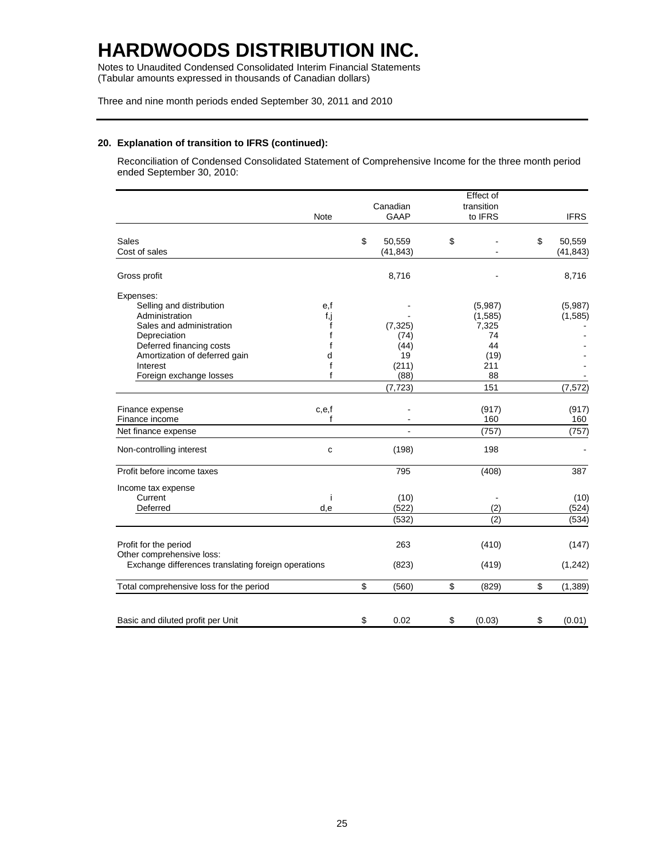Notes to Unaudited Condensed Consolidated Interim Financial Statements (Tabular amounts expressed in thousands of Canadian dollars)

Three and nine month periods ended September 30, 2011 and 2010

### **20. Explanation of transition to IFRS (continued):**

Reconciliation of Condensed Consolidated Statement of Comprehensive Income for the three month period ended September 30, 2010:

|                                                     |             |              | Effect of    |                |
|-----------------------------------------------------|-------------|--------------|--------------|----------------|
|                                                     |             | Canadian     | transition   |                |
|                                                     | <b>Note</b> | <b>GAAP</b>  | to IFRS      | <b>IFRS</b>    |
| <b>Sales</b>                                        |             | \$<br>50,559 | \$           | \$<br>50,559   |
| Cost of sales                                       |             | (41, 843)    |              | (41, 843)      |
| Gross profit                                        |             | 8,716        |              | 8,716          |
| Expenses:                                           |             |              |              |                |
| Selling and distribution                            | e,f         |              | (5,987)      | (5,987)        |
| Administration                                      | f,j         |              | (1, 585)     | (1, 585)       |
| Sales and administration                            | f           | (7, 325)     | 7,325        |                |
| Depreciation                                        | f           | (74)         | 74           |                |
| Deferred financing costs                            | f           | (44)         | 44           |                |
| Amortization of deferred gain                       | d           | 19           | (19)         |                |
| Interest                                            | f           | (211)        | 211          |                |
| Foreign exchange losses                             | f           | (88)         | 88           |                |
|                                                     |             | (7, 723)     | 151          | (7, 572)       |
| Finance expense                                     | c,e,f       |              | (917)        | (917)          |
| Finance income                                      | f           |              | 160          | 160            |
| Net finance expense                                 |             |              | (757)        | (757)          |
| Non-controlling interest                            | c           | (198)        | 198          |                |
| Profit before income taxes                          |             | 795          | (408)        | 387            |
| Income tax expense                                  |             |              |              |                |
| Current                                             | Ť           | (10)         |              | (10)           |
| Deferred                                            | d,e         | (522)        | (2)          | (524)          |
|                                                     |             | (532)        | (2)          | (534)          |
| Profit for the period                               |             | 263          | (410)        | (147)          |
| Other comprehensive loss:                           |             |              |              |                |
| Exchange differences translating foreign operations |             | (823)        | (419)        | (1, 242)       |
| Total comprehensive loss for the period             |             | \$<br>(560)  | \$<br>(829)  | \$<br>(1, 389) |
| Basic and diluted profit per Unit                   |             | \$<br>0.02   | \$<br>(0.03) | \$<br>(0.01)   |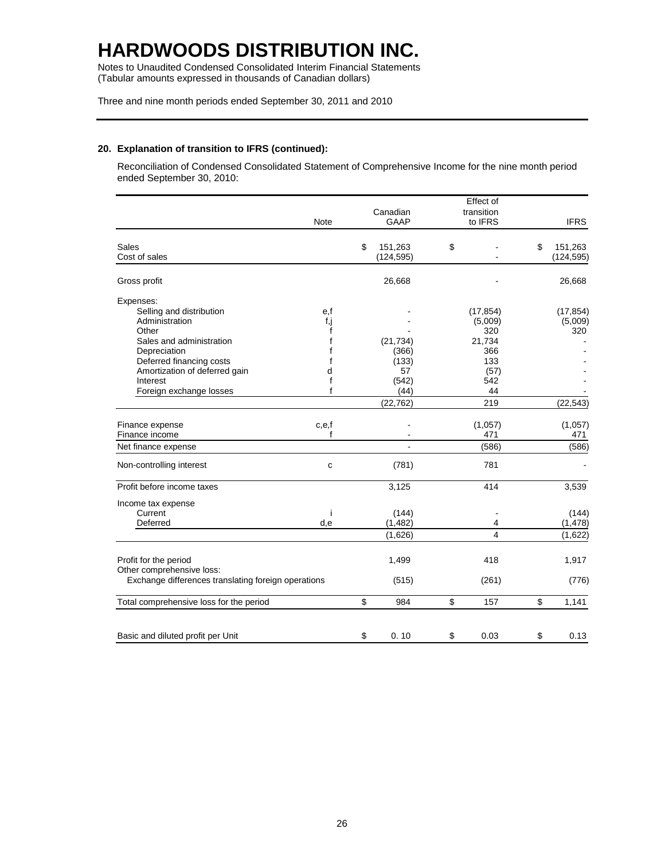Notes to Unaudited Condensed Consolidated Interim Financial Statements (Tabular amounts expressed in thousands of Canadian dollars)

Three and nine month periods ended September 30, 2011 and 2010

### **20. Explanation of transition to IFRS (continued):**

Reconciliation of Condensed Consolidated Statement of Comprehensive Income for the nine month period ended September 30, 2010:

|                                                     |                | Effect of      |               |
|-----------------------------------------------------|----------------|----------------|---------------|
|                                                     | Canadian       | transition     |               |
| Note                                                | <b>GAAP</b>    | to IFRS        | <b>IFRS</b>   |
| <b>Sales</b>                                        | \$<br>151,263  | \$             | \$<br>151,263 |
| Cost of sales                                       | (124, 595)     |                | (124, 595)    |
| Gross profit                                        | 26,668         |                | 26,668        |
| Expenses:                                           |                |                |               |
| Selling and distribution<br>e,f                     |                | (17, 854)      | (17, 854)     |
| Administration<br>f,j                               |                | (5,009)        | (5,009)       |
| Other<br>f                                          |                | 320            | 320           |
| Sales and administration<br>f                       | (21, 734)      | 21,734         |               |
| Depreciation                                        | (366)          | 366            |               |
| Deferred financing costs<br>f                       | (133)          | 133            |               |
| Amortization of deferred gain<br>d                  | 57             | (57)           |               |
| Interest<br>f                                       | (542)          | 542            |               |
| f<br>Foreign exchange losses                        | (44)           | 44             |               |
|                                                     | (22, 762)      | 219            | (22, 543)     |
| Finance expense<br>c,e,f                            |                | (1,057)        | (1,057)       |
| Finance income<br>f                                 |                | 471            | 471           |
| Net finance expense                                 | $\overline{a}$ | (586)          | (586)         |
| Non-controlling interest<br>$\mathbf{C}$            | (781)          | 781            |               |
| Profit before income taxes                          | 3,125          | 414            | 3,539         |
| Income tax expense                                  |                |                |               |
| Current<br>j                                        | (144)          |                | (144)         |
| Deferred<br>d,e                                     | (1, 482)       | 4              | (1, 478)      |
|                                                     | (1,626)        | $\overline{4}$ | (1,622)       |
| Profit for the period                               | 1,499          | 418            | 1,917         |
| Other comprehensive loss:                           |                |                |               |
| Exchange differences translating foreign operations | (515)          | (261)          | (776)         |
| Total comprehensive loss for the period             | \$<br>984      | \$<br>157      | \$<br>1,141   |
|                                                     |                |                |               |
| Basic and diluted profit per Unit                   | \$<br>0.10     | \$<br>0.03     | \$<br>0.13    |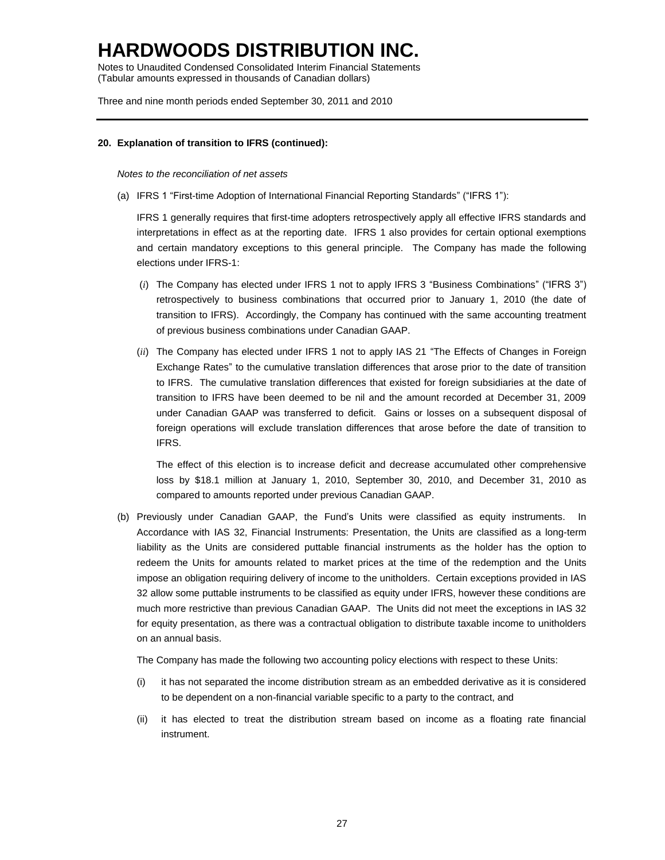Notes to Unaudited Condensed Consolidated Interim Financial Statements (Tabular amounts expressed in thousands of Canadian dollars)

Three and nine month periods ended September 30, 2011 and 2010

### **20. Explanation of transition to IFRS (continued):**

#### *Notes to the reconciliation of net assets*

(a) IFRS 1 "First-time Adoption of International Financial Reporting Standards" ("IFRS 1"):

IFRS 1 generally requires that first-time adopters retrospectively apply all effective IFRS standards and interpretations in effect as at the reporting date. IFRS 1 also provides for certain optional exemptions and certain mandatory exceptions to this general principle. The Company has made the following elections under IFRS-1:

- (*i*) The Company has elected under IFRS 1 not to apply IFRS 3 "Business Combinations" ("IFRS 3") retrospectively to business combinations that occurred prior to January 1, 2010 (the date of transition to IFRS). Accordingly, the Company has continued with the same accounting treatment of previous business combinations under Canadian GAAP.
- (*ii*) The Company has elected under IFRS 1 not to apply IAS 21 "The Effects of Changes in Foreign Exchange Rates" to the cumulative translation differences that arose prior to the date of transition to IFRS. The cumulative translation differences that existed for foreign subsidiaries at the date of transition to IFRS have been deemed to be nil and the amount recorded at December 31, 2009 under Canadian GAAP was transferred to deficit. Gains or losses on a subsequent disposal of foreign operations will exclude translation differences that arose before the date of transition to IFRS.

The effect of this election is to increase deficit and decrease accumulated other comprehensive loss by \$18.1 million at January 1, 2010, September 30, 2010, and December 31, 2010 as compared to amounts reported under previous Canadian GAAP.

(b) Previously under Canadian GAAP, the Fund's Units were classified as equity instruments. In Accordance with IAS 32, Financial Instruments: Presentation, the Units are classified as a long-term liability as the Units are considered puttable financial instruments as the holder has the option to redeem the Units for amounts related to market prices at the time of the redemption and the Units impose an obligation requiring delivery of income to the unitholders. Certain exceptions provided in IAS 32 allow some puttable instruments to be classified as equity under IFRS, however these conditions are much more restrictive than previous Canadian GAAP. The Units did not meet the exceptions in IAS 32 for equity presentation, as there was a contractual obligation to distribute taxable income to unitholders on an annual basis.

The Company has made the following two accounting policy elections with respect to these Units:

- (i) it has not separated the income distribution stream as an embedded derivative as it is considered to be dependent on a non-financial variable specific to a party to the contract, and
- (ii) it has elected to treat the distribution stream based on income as a floating rate financial instrument.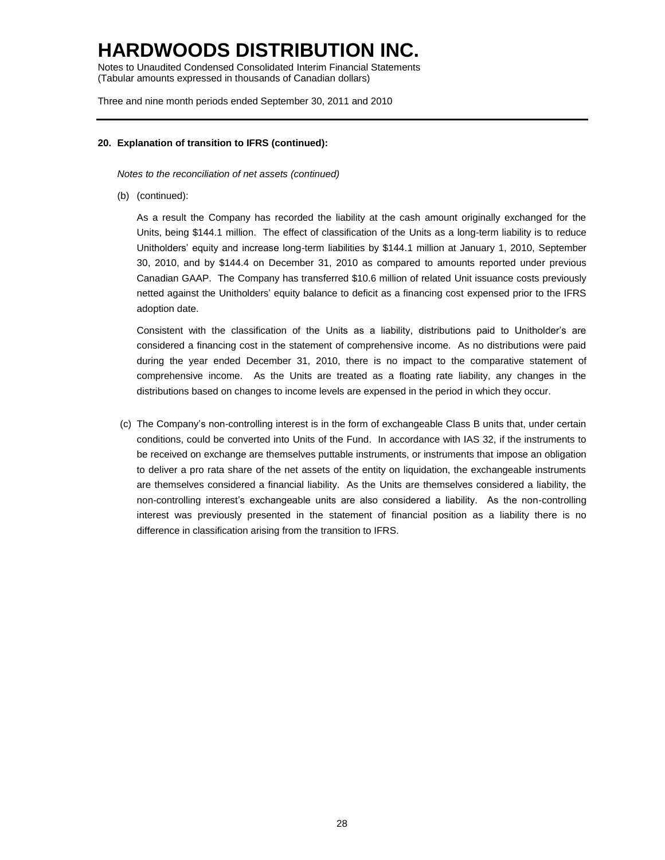Notes to Unaudited Condensed Consolidated Interim Financial Statements (Tabular amounts expressed in thousands of Canadian dollars)

Three and nine month periods ended September 30, 2011 and 2010

### **20. Explanation of transition to IFRS (continued):**

*Notes to the reconciliation of net assets (continued)*

(b) (continued):

As a result the Company has recorded the liability at the cash amount originally exchanged for the Units, being \$144.1 million. The effect of classification of the Units as a long-term liability is to reduce Unitholders' equity and increase long-term liabilities by \$144.1 million at January 1, 2010, September 30, 2010, and by \$144.4 on December 31, 2010 as compared to amounts reported under previous Canadian GAAP. The Company has transferred \$10.6 million of related Unit issuance costs previously netted against the Unitholders' equity balance to deficit as a financing cost expensed prior to the IFRS adoption date.

Consistent with the classification of the Units as a liability, distributions paid to Unitholder's are considered a financing cost in the statement of comprehensive income. As no distributions were paid during the year ended December 31, 2010, there is no impact to the comparative statement of comprehensive income. As the Units are treated as a floating rate liability, any changes in the distributions based on changes to income levels are expensed in the period in which they occur.

(c) The Company's non-controlling interest is in the form of exchangeable Class B units that, under certain conditions, could be converted into Units of the Fund. In accordance with IAS 32, if the instruments to be received on exchange are themselves puttable instruments, or instruments that impose an obligation to deliver a pro rata share of the net assets of the entity on liquidation, the exchangeable instruments are themselves considered a financial liability. As the Units are themselves considered a liability, the non-controlling interest's exchangeable units are also considered a liability. As the non-controlling interest was previously presented in the statement of financial position as a liability there is no difference in classification arising from the transition to IFRS.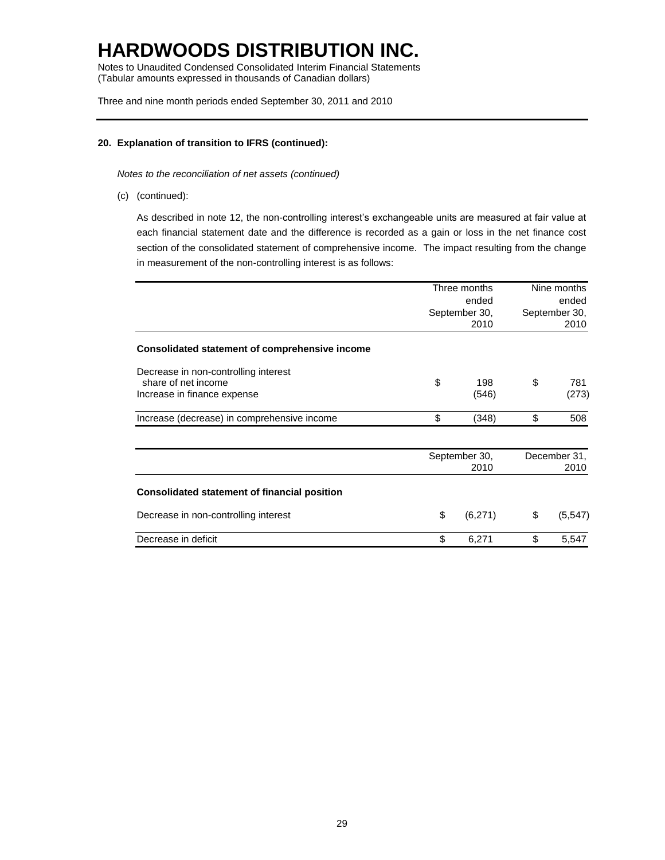Notes to Unaudited Condensed Consolidated Interim Financial Statements (Tabular amounts expressed in thousands of Canadian dollars)

Three and nine month periods ended September 30, 2011 and 2010

### **20. Explanation of transition to IFRS (continued):**

*Notes to the reconciliation of net assets (continued)*

(c) (continued):

As described in note 12, the non-controlling interest's exchangeable units are measured at fair value at each financial statement date and the difference is recorded as a gain or loss in the net finance cost section of the consolidated statement of comprehensive income. The impact resulting from the change in measurement of the non-controlling interest is as follows:

|                                                       | Three months  | Nine months   |              |  |
|-------------------------------------------------------|---------------|---------------|--------------|--|
|                                                       | ended         |               | ended        |  |
|                                                       | September 30, | September 30, |              |  |
|                                                       | 2010          |               | 2010         |  |
| <b>Consolidated statement of comprehensive income</b> |               |               |              |  |
| Decrease in non-controlling interest                  |               |               |              |  |
| share of net income                                   | \$<br>198     | \$            | 781          |  |
| Increase in finance expense                           | (546)         |               | (273)        |  |
| Increase (decrease) in comprehensive income           | \$<br>(348)   | \$            | 508          |  |
|                                                       | September 30, |               | December 31, |  |
|                                                       | 2010          |               | 2010         |  |
| <b>Consolidated statement of financial position</b>   |               |               |              |  |
| Decrease in non-controlling interest                  | \$<br>(6,271) | \$            | (5, 547)     |  |
| Decrease in deficit                                   | \$<br>6,271   | \$            | 5,547        |  |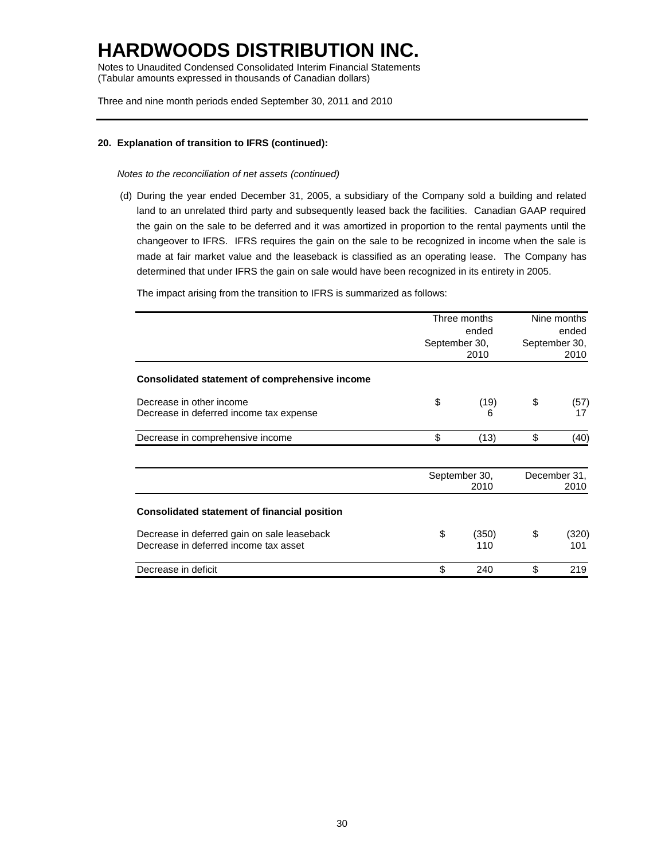Notes to Unaudited Condensed Consolidated Interim Financial Statements (Tabular amounts expressed in thousands of Canadian dollars)

Three and nine month periods ended September 30, 2011 and 2010

### **20. Explanation of transition to IFRS (continued):**

*Notes to the reconciliation of net assets (continued)*

(d) During the year ended December 31, 2005, a subsidiary of the Company sold a building and related land to an unrelated third party and subsequently leased back the facilities. Canadian GAAP required the gain on the sale to be deferred and it was amortized in proportion to the rental payments until the changeover to IFRS. IFRS requires the gain on the sale to be recognized in income when the sale is made at fair market value and the leaseback is classified as an operating lease. The Company has determined that under IFRS the gain on sale would have been recognized in its entirety in 2005.

The impact arising from the transition to IFRS is summarized as follows:

|                                                                                      | Three months<br>ended<br>September 30,<br>2010 | Nine months<br>ended<br>September 30,<br>2010 |
|--------------------------------------------------------------------------------------|------------------------------------------------|-----------------------------------------------|
| Consolidated statement of comprehensive income                                       |                                                |                                               |
| Decrease in other income<br>Decrease in deferred income tax expense                  | \$<br>(19)<br>6                                | \$<br>(57)<br>17                              |
| Decrease in comprehensive income                                                     | \$<br>(13)                                     | \$<br>(40)                                    |
|                                                                                      | September 30,<br>2010                          | December 31,<br>2010                          |
| <b>Consolidated statement of financial position</b>                                  |                                                |                                               |
| Decrease in deferred gain on sale leaseback<br>Decrease in deferred income tax asset | \$<br>(350)<br>110                             | \$<br>(320)<br>101                            |
| Decrease in deficit                                                                  | \$<br>240                                      | \$<br>219                                     |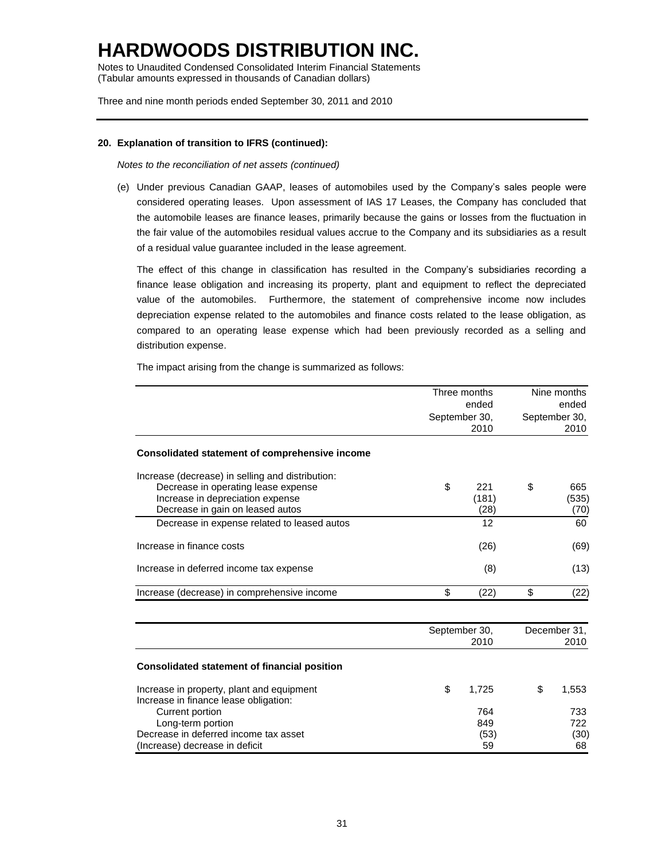Notes to Unaudited Condensed Consolidated Interim Financial Statements (Tabular amounts expressed in thousands of Canadian dollars)

Three and nine month periods ended September 30, 2011 and 2010

### **20. Explanation of transition to IFRS (continued):**

*Notes to the reconciliation of net assets (continued)*

(e) Under previous Canadian GAAP, leases of automobiles used by the Company's sales people were considered operating leases. Upon assessment of IAS 17 Leases, the Company has concluded that the automobile leases are finance leases, primarily because the gains or losses from the fluctuation in the fair value of the automobiles residual values accrue to the Company and its subsidiaries as a result of a residual value guarantee included in the lease agreement.

The effect of this change in classification has resulted in the Company's subsidiaries recording a finance lease obligation and increasing its property, plant and equipment to reflect the depreciated value of the automobiles. Furthermore, the statement of comprehensive income now includes depreciation expense related to the automobiles and finance costs related to the lease obligation, as compared to an operating lease expense which had been previously recorded as a selling and distribution expense.

The impact arising from the change is summarized as follows:

|                                                                                    | Three months<br>ended<br>September 30,<br>2010 |               | Nine months<br>ended<br>September 30,<br>2010 |               |
|------------------------------------------------------------------------------------|------------------------------------------------|---------------|-----------------------------------------------|---------------|
|                                                                                    |                                                |               |                                               |               |
|                                                                                    |                                                |               |                                               |               |
| <b>Consolidated statement of comprehensive income</b>                              |                                                |               |                                               |               |
| Increase (decrease) in selling and distribution:                                   |                                                |               |                                               |               |
| Decrease in operating lease expense                                                | \$                                             | 221           | \$                                            | 665           |
| Increase in depreciation expense<br>Decrease in gain on leased autos               |                                                | (181)<br>(28) |                                               | (535)<br>(70) |
| Decrease in expense related to leased autos                                        |                                                | 12            |                                               | 60            |
| Increase in finance costs                                                          |                                                | (26)          |                                               | (69)          |
| Increase in deferred income tax expense                                            |                                                | (8)           |                                               | (13)          |
| Increase (decrease) in comprehensive income                                        | \$                                             | (22)          | \$                                            | (22)          |
|                                                                                    |                                                | September 30, |                                               | December 31.  |
|                                                                                    |                                                | 2010          |                                               | 2010          |
| <b>Consolidated statement of financial position</b>                                |                                                |               |                                               |               |
| Increase in property, plant and equipment<br>Increase in finance lease obligation: | \$                                             | 1,725         | \$                                            | 1,553         |
| Current portion                                                                    |                                                | 764           |                                               | 733           |
| Long-term portion                                                                  |                                                | 849           |                                               | 722           |
| Decrease in deferred income tax asset                                              |                                                | (53)          |                                               | (30)          |
| (Increase) decrease in deficit                                                     |                                                | 59            |                                               | 68            |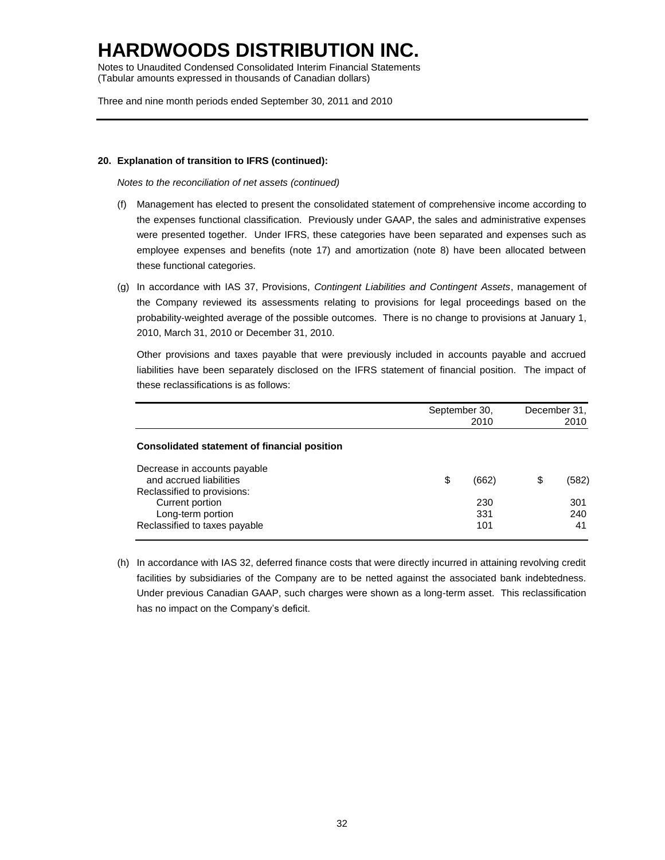Notes to Unaudited Condensed Consolidated Interim Financial Statements (Tabular amounts expressed in thousands of Canadian dollars)

Three and nine month periods ended September 30, 2011 and 2010

### **20. Explanation of transition to IFRS (continued):**

*Notes to the reconciliation of net assets (continued)*

- (f) Management has elected to present the consolidated statement of comprehensive income according to the expenses functional classification. Previously under GAAP, the sales and administrative expenses were presented together. Under IFRS, these categories have been separated and expenses such as employee expenses and benefits (note 17) and amortization (note 8) have been allocated between these functional categories.
- (g) In accordance with IAS 37, Provisions, *Contingent Liabilities and Contingent Assets*, management of the Company reviewed its assessments relating to provisions for legal proceedings based on the probability-weighted average of the possible outcomes. There is no change to provisions at January 1, 2010, March 31, 2010 or December 31, 2010.

Other provisions and taxes payable that were previously included in accounts payable and accrued liabilities have been separately disclosed on the IFRS statement of financial position. The impact of these reclassifications is as follows:

|                                                                     | September 30, | December 31,<br>2010 |    |            |
|---------------------------------------------------------------------|---------------|----------------------|----|------------|
| Consolidated statement of financial position                        |               |                      |    |            |
| Decrease in accounts payable<br>and accrued liabilities             | \$            | (662)                | \$ | (582)      |
| Reclassified to provisions:<br>Current portion<br>Long-term portion |               | 230<br>331           |    | 301<br>240 |
| Reclassified to taxes payable                                       |               | 101                  |    | 41         |

(h) In accordance with IAS 32, deferred finance costs that were directly incurred in attaining revolving credit facilities by subsidiaries of the Company are to be netted against the associated bank indebtedness. Under previous Canadian GAAP, such charges were shown as a long-term asset. This reclassification has no impact on the Company's deficit.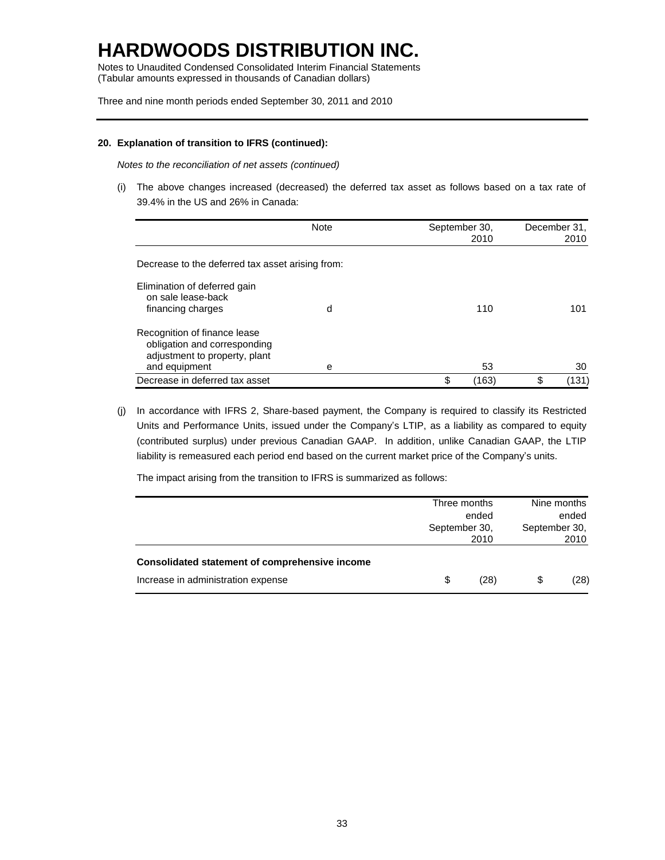Notes to Unaudited Condensed Consolidated Interim Financial Statements (Tabular amounts expressed in thousands of Canadian dollars)

Three and nine month periods ended September 30, 2011 and 2010

#### **20. Explanation of transition to IFRS (continued):**

*Notes to the reconciliation of net assets (continued)*

(i) The above changes increased (decreased) the deferred tax asset as follows based on a tax rate of 39.4% in the US and 26% in Canada:

|                                                                                                                | Note | September 30,<br>2010 | December 31,<br>2010 |    |       |
|----------------------------------------------------------------------------------------------------------------|------|-----------------------|----------------------|----|-------|
| Decrease to the deferred tax asset arising from:                                                               |      |                       |                      |    |       |
| Elimination of deferred gain<br>on sale lease-back<br>financing charges                                        | d    |                       | 110                  |    | 101   |
| Recognition of finance lease<br>obligation and corresponding<br>adjustment to property, plant<br>and equipment | е    |                       | 53                   |    | 30    |
| Decrease in deferred tax asset                                                                                 |      | \$                    | (163)                | \$ | (131) |

(j) In accordance with IFRS 2, Share-based payment, the Company is required to classify its Restricted Units and Performance Units, issued under the Company's LTIP, as a liability as compared to equity (contributed surplus) under previous Canadian GAAP. In addition, unlike Canadian GAAP, the LTIP liability is remeasured each period end based on the current market price of the Company's units.

The impact arising from the transition to IFRS is summarized as follows:

|                                                |                                | Three months | Nine months                    |      |
|------------------------------------------------|--------------------------------|--------------|--------------------------------|------|
|                                                | ended<br>September 30,<br>2010 |              | ended<br>September 30,<br>2010 |      |
|                                                |                                |              |                                |      |
|                                                |                                |              |                                |      |
| Consolidated statement of comprehensive income |                                |              |                                |      |
| Increase in administration expense             | \$                             | (28)         | \$                             | (28) |